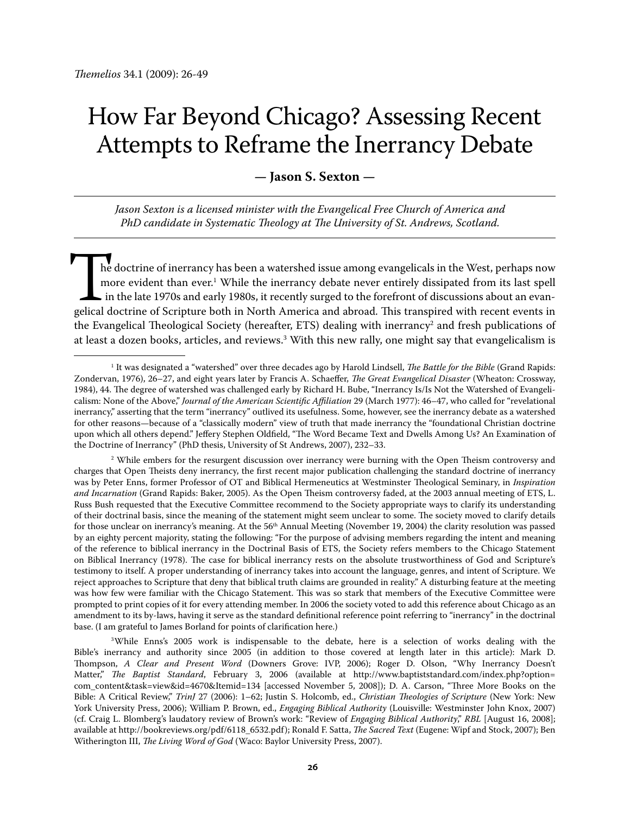# How Far Beyond Chicago? Assessing Recent Attempts to Reframe the Inerrancy Debate

# **— Jason S. Sexton —**

*Jason Sexton is a licensed minister with the Evangelical Free Church of America and PhD candidate in Systematic Theology at The University of St. Andrews, Scotland.*

he doctrine of inerrancy has been a watershed issue among evangelicals in the West, perhaps now more evident than ever.<sup>1</sup> While the inerrancy debate never entirely dissipated from its last spell in the late 1970s and early 1980s, it recently surged to the forefront of discussions about an evangelical doctrine of Scripture both in North America and abroad. This transpired with recent events in the Evangelical Theological Society (hereafter, ETS) dealing with inerrancy<sup>2</sup> and fresh publications of at least a dozen books, articles, and reviews.<sup>3</sup> With this new rally, one might say that evangelicalism is

<sup>3</sup>While Enns's 2005 work is indispensable to the debate, here is a selection of works dealing with the Bible's inerrancy and authority since 2005 (in addition to those covered at length later in this article): Mark D. Thompson, *A Clear and Present Word* (Downers Grove: IVP, 2006); Roger D. Olson, "Why Inerrancy Doesn't Matter," *The Baptist Standard*, February 3, 2006 (available at http://www.baptiststandard.com/index.php?option= com\_content&task=view&id=4670&Itemid=134 [accessed November 5, 2008]); D. A. Carson, "Three More Books on the Bible: A Critical Review," *TrinJ* 27 (2006): 1–62; Justin S. Holcomb, ed., *Christian Theologies of Scripture* (New York: New York University Press, 2006); William P. Brown, ed., *Engaging Biblical Authority* (Louisville: Westminster John Knox, 2007) (cf. Craig L. Blomberg's laudatory review of Brown's work: "Review of *Engaging Biblical Authority*," *RBL* [August 16, 2008]; available at http://bookreviews.org/pdf/6118\_6532.pdf); Ronald F. Satta, *The Sacred Text* (Eugene: Wipf and Stock, 2007); Ben Witherington III, *The Living Word of God* (Waco: Baylor University Press, 2007).

<sup>1</sup> It was designated a "watershed" over three decades ago by Harold Lindsell, *The Battle for the Bible* (Grand Rapids: Zondervan, 1976), 26–27, and eight years later by Francis A. Schaeffer, *The Great Evangelical Disaster* (Wheaton: Crossway, 1984), 44. The degree of watershed was challenged early by Richard H. Bube, "Inerrancy Is/Is Not the Watershed of Evangelicalism: None of the Above," *Journal of the American Scientific Affiliation* 29 (March 1977): 46–47, who called for "revelational inerrancy," asserting that the term "inerrancy" outlived its usefulness. Some, however, see the inerrancy debate as a watershed for other reasons—because of a "classically modern" view of truth that made inerrancy the "foundational Christian doctrine upon which all others depend." Jeffery Stephen Oldfield, "The Word Became Text and Dwells Among Us? An Examination of the Doctrine of Inerrancy" (PhD thesis, University of St Andrews, 2007), 232–33.

<sup>2</sup> While embers for the resurgent discussion over inerrancy were burning with the Open Theism controversy and charges that Open Theists deny inerrancy, the first recent major publication challenging the standard doctrine of inerrancy was by Peter Enns, former Professor of OT and Biblical Hermeneutics at Westminster Theological Seminary, in *Inspiration and Incarnation* (Grand Rapids: Baker, 2005). As the Open Theism controversy faded, at the 2003 annual meeting of ETS, L. Russ Bush requested that the Executive Committee recommend to the Society appropriate ways to clarify its understanding of their doctrinal basis, since the meaning of the statement might seem unclear to some. The society moved to clarify details for those unclear on inerrancy's meaning. At the 56<sup>th</sup> Annual Meeting (November 19, 2004) the clarity resolution was passed by an eighty percent majority, stating the following: "For the purpose of advising members regarding the intent and meaning of the reference to biblical inerrancy in the Doctrinal Basis of ETS, the Society refers members to the Chicago Statement on Biblical Inerrancy (1978). The case for biblical inerrancy rests on the absolute trustworthiness of God and Scripture's testimony to itself. A proper understanding of inerrancy takes into account the language, genres, and intent of Scripture. We reject approaches to Scripture that deny that biblical truth claims are grounded in reality." A disturbing feature at the meeting was how few were familiar with the Chicago Statement. This was so stark that members of the Executive Committee were prompted to print copies of it for every attending member. In 2006 the society voted to add this reference about Chicago as an amendment to its by-laws, having it serve as the standard definitional reference point referring to "inerrancy" in the doctrinal base. (I am grateful to James Borland for points of clarification here.)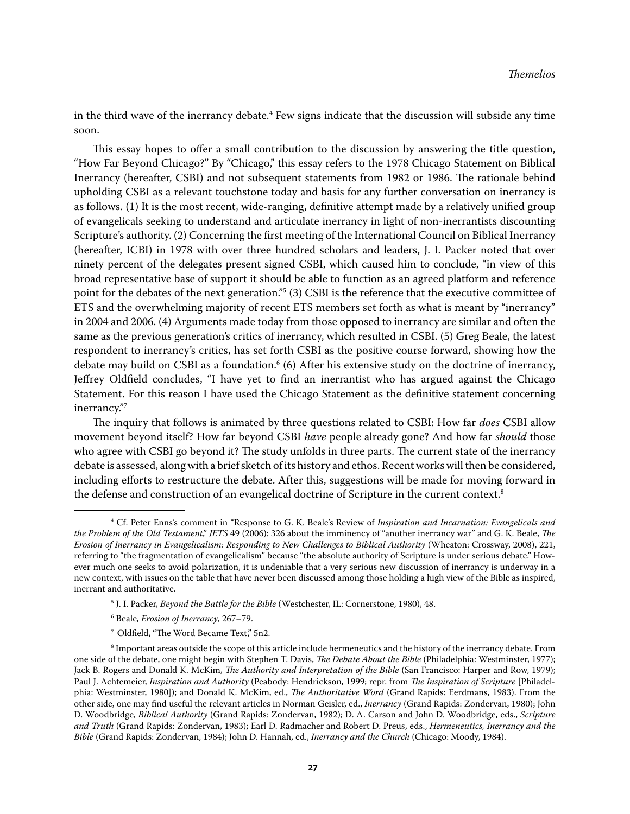in the third wave of the inerrancy debate. $4$  Few signs indicate that the discussion will subside any time soon.

This essay hopes to offer a small contribution to the discussion by answering the title question, "How Far Beyond Chicago?" By "Chicago," this essay refers to the 1978 Chicago Statement on Biblical Inerrancy (hereafter, CSBI) and not subsequent statements from 1982 or 1986. The rationale behind upholding CSBI as a relevant touchstone today and basis for any further conversation on inerrancy is as follows. (1) It is the most recent, wide-ranging, definitive attempt made by a relatively unified group of evangelicals seeking to understand and articulate inerrancy in light of non-inerrantists discounting Scripture's authority. (2) Concerning the first meeting of the International Council on Biblical Inerrancy (hereafter, ICBI) in 1978 with over three hundred scholars and leaders, J. I. Packer noted that over ninety percent of the delegates present signed CSBI, which caused him to conclude, "in view of this broad representative base of support it should be able to function as an agreed platform and reference point for the debates of the next generation."5 (3) CSBI is the reference that the executive committee of ETS and the overwhelming majority of recent ETS members set forth as what is meant by "inerrancy" in 2004 and 2006. (4) Arguments made today from those opposed to inerrancy are similar and often the same as the previous generation's critics of inerrancy, which resulted in CSBI. (5) Greg Beale, the latest respondent to inerrancy's critics, has set forth CSBI as the positive course forward, showing how the debate may build on CSBI as a foundation.<sup>6</sup> (6) After his extensive study on the doctrine of inerrancy, Jeffrey Oldfield concludes, "I have yet to find an inerrantist who has argued against the Chicago Statement. For this reason I have used the Chicago Statement as the definitive statement concerning inerrancy."7

The inquiry that follows is animated by three questions related to CSBI: How far *does* CSBI allow movement beyond itself? How far beyond CSBI *have* people already gone? And how far *should* those who agree with CSBI go beyond it? The study unfolds in three parts. The current state of the inerrancy debate is assessed, along with a brief sketch of its history and ethos. Recent works will then be considered, including efforts to restructure the debate. After this, suggestions will be made for moving forward in the defense and construction of an evangelical doctrine of Scripture in the current context.<sup>8</sup>

- 6 Beale, *Erosion of Inerrancy*, 267–79.
- 7 Oldfield, "The Word Became Text," 5n2.

<sup>4</sup> Cf. Peter Enns's comment in "Response to G. K. Beale's Review of *Inspiration and Incarnation: Evangelicals and the Problem of the Old Testament*," *JETS* 49 (2006): 326 about the imminency of "another inerrancy war" and G. K. Beale, *The Erosion of Inerrancy in Evangelicalism: Responding to New Challenges to Biblical Authority* (Wheaton: Crossway, 2008), 221, referring to "the fragmentation of evangelicalism" because "the absolute authority of Scripture is under serious debate." However much one seeks to avoid polarization, it is undeniable that a very serious new discussion of inerrancy is underway in a new context, with issues on the table that have never been discussed among those holding a high view of the Bible as inspired, inerrant and authoritative.

<sup>5</sup> J. I. Packer, *Beyond the Battle for the Bible* (Westchester, IL: Cornerstone, 1980), 48.

<sup>8</sup> Important areas outside the scope of this article include hermeneutics and the history of the inerrancy debate. From one side of the debate, one might begin with Stephen T. Davis, *The Debate About the Bible* (Philadelphia: Westminster, 1977); Jack B. Rogers and Donald K. McKim, *The Authority and Interpretation of the Bible* (San Francisco: Harper and Row, 1979); Paul J. Achtemeier, *Inspiration and Authority* (Peabody: Hendrickson, 1999; repr. from *The Inspiration of Scripture* [Philadelphia: Westminster, 1980]); and Donald K. McKim, ed., *The Authoritative Word* (Grand Rapids: Eerdmans, 1983). From the other side, one may find useful the relevant articles in Norman Geisler, ed., *Inerrancy* (Grand Rapids: Zondervan, 1980); John D. Woodbridge, *Biblical Authority* (Grand Rapids: Zondervan, 1982); D. A. Carson and John D. Woodbridge, eds., *Scripture and Truth* (Grand Rapids: Zondervan, 1983); Earl D. Radmacher and Robert D. Preus, eds., *Hermeneutics, Inerrancy and the Bible* (Grand Rapids: Zondervan, 1984); John D. Hannah, ed., *Inerrancy and the Church* (Chicago: Moody, 1984).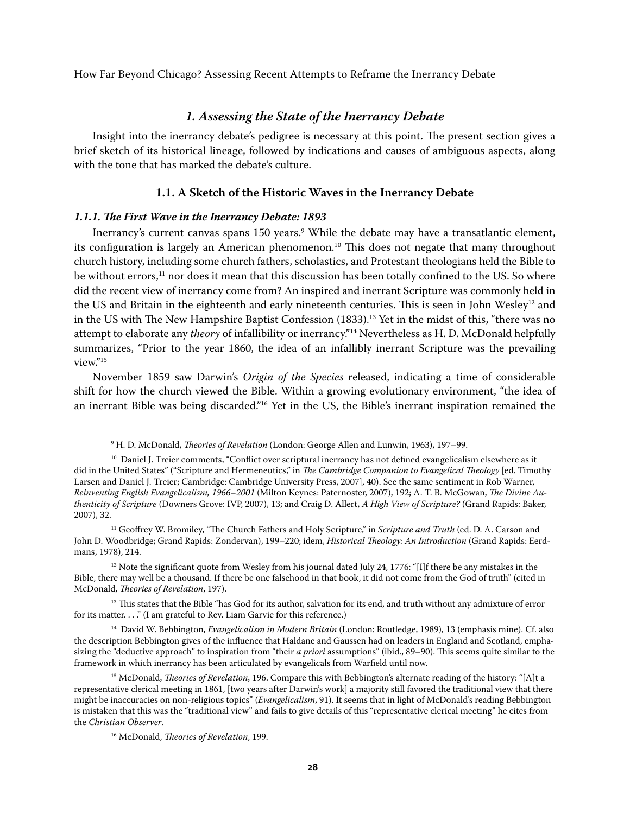*1. Assessing the State of the Inerrancy Debate* Insight into the inerrancy debate's pedigree is necessary at this point. The present section gives a brief sketch of its historical lineage, followed by indications and causes of ambiguous aspects, along with the tone that has marked the debate's culture.

#### **1.1. A Sketch of the Historic Waves in the Inerrancy Debate**

#### *1.1.1. The First Wave in the Inerrancy Debate: 1893*

Inerrancy's current canvas spans 150 years.<sup>9</sup> While the debate may have a transatlantic element, its configuration is largely an American phenomenon.<sup>10</sup> This does not negate that many throughout church history, including some church fathers, scholastics, and Protestant theologians held the Bible to be without errors,<sup>11</sup> nor does it mean that this discussion has been totally confined to the US. So where did the recent view of inerrancy come from? An inspired and inerrant Scripture was commonly held in the US and Britain in the eighteenth and early nineteenth centuries. This is seen in John Wesley<sup>12</sup> and in the US with The New Hampshire Baptist Confession (1833).<sup>13</sup> Yet in the midst of this, "there was no attempt to elaborate any *theory* of infallibility or inerrancy."14 Nevertheless as H. D. McDonald helpfully summarizes, "Prior to the year 1860, the idea of an infallibly inerrant Scripture was the prevailing view."15

November 1859 saw Darwin's *Origin of the Species* released, indicating a time of considerable shift for how the church viewed the Bible. Within a growing evolutionary environment, "the idea of an inerrant Bible was being discarded."<sup>16</sup> Yet in the US, the Bible's inerrant inspiration remained the

<sup>9</sup> H. D. McDonald, *Theories of Revelation* (London: George Allen and Lunwin, 1963), 197–99.

<sup>&</sup>lt;sup>10</sup> Daniel J. Treier comments, "Conflict over scriptural inerrancy has not defined evangelicalism elsewhere as it did in the United States" ("Scripture and Hermeneutics," in *The Cambridge Companion to Evangelical Theology* [ed. Timothy Larsen and Daniel J. Treier; Cambridge: Cambridge University Press, 2007], 40). See the same sentiment in Rob Warner, *Reinventing English Evangelicalism, 1966–2001* (Milton Keynes: Paternoster, 2007), 192; A. T. B. McGowan, *The Divine Authenticity of Scripture* (Downers Grove: IVP, 2007), 13; and Craig D. Allert, *A High View of Scripture?* (Grand Rapids: Baker, 2007), 32.

<sup>11</sup> Geoffrey W. Bromiley, "The Church Fathers and Holy Scripture," in *Scripture and Truth* (ed. D. A. Carson and John D. Woodbridge; Grand Rapids: Zondervan), 199–220; idem, *Historical Theology: An Introduction* (Grand Rapids: Eerdmans, 1978), 214.

 $12$  Note the significant quote from Wesley from his journal dated July 24, 1776: "[I]f there be any mistakes in the Bible, there may well be a thousand. If there be one falsehood in that book, it did not come from the God of truth" (cited in McDonald, *Theories of Revelation*, 197).

<sup>&</sup>lt;sup>13</sup> This states that the Bible "has God for its author, salvation for its end, and truth without any admixture of error for its matter. . . ." (I am grateful to Rev. Liam Garvie for this reference.)

<sup>14</sup> David W. Bebbington, *Evangelicalism in Modern Britain* (London: Routledge, 1989), 13 (emphasis mine). Cf. also the description Bebbington gives of the influence that Haldane and Gaussen had on leaders in England and Scotland, emphasizing the "deductive approach" to inspiration from "their *a priori* assumptions" (ibid., 89–90). This seems quite similar to the framework in which inerrancy has been articulated by evangelicals from Warfield until now.

<sup>15</sup> McDonald, *Theories of Revelation*, 196. Compare this with Bebbington's alternate reading of the history: "[A]t a representative clerical meeting in 1861, [two years after Darwin's work] a majority still favored the traditional view that there might be inaccuracies on non-religious topics" (*Evangelicalism*, 91). It seems that in light of McDonald's reading Bebbington is mistaken that this was the "traditional view" and fails to give details of this "representative clerical meeting" he cites from the *Christian Observer*.

<sup>16</sup> McDonald, *Theories of Revelation*, 199.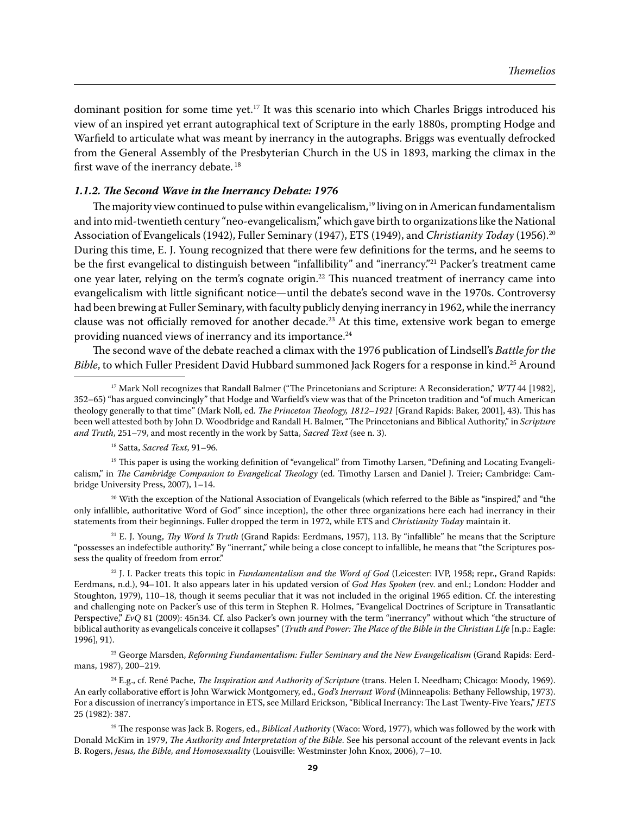dominant position for some time yet.<sup>17</sup> It was this scenario into which Charles Briggs introduced his view of an inspired yet errant autographical text of Scripture in the early 1880s, prompting Hodge and Warfield to articulate what was meant by inerrancy in the autographs. Briggs was eventually defrocked from the General Assembly of the Presbyterian Church in the US in 1893, marking the climax in the first wave of the inerrancy debate.<sup>18</sup>

#### *1.1.2. The Second Wave in the Inerrancy Debate: 1976*

The majority view continued to pulse within evangelicalism,<sup>19</sup> living on in American fundamentalism and into mid-twentieth century "neo-evangelicalism," which gave birth to organizations like the National Association of Evangelicals (1942), Fuller Seminary (1947), ETS (1949), and *Christianity Today* (1956).20 During this time, E. J. Young recognized that there were few definitions for the terms, and he seems to be the first evangelical to distinguish between "infallibility" and "inerrancy."<sup>21</sup> Packer's treatment came one year later, relying on the term's cognate origin.22 This nuanced treatment of inerrancy came into evangelicalism with little significant notice—until the debate's second wave in the 1970s. Controversy had been brewing at Fuller Seminary, with faculty publicly denying inerrancy in 1962, while the inerrancy clause was not officially removed for another decade.<sup>23</sup> At this time, extensive work began to emerge providing nuanced views of inerrancy and its importance.<sup>24</sup>

The second wave of the debate reached a climax with the 1976 publication of Lindsell's *Battle for the Bible*, to which Fuller President David Hubbard summoned Jack Rogers for a response in kind.25 Around

 $20$  With the exception of the National Association of Evangelicals (which referred to the Bible as "inspired," and "the only infallible, authoritative Word of God" since inception), the other three organizations here each had inerrancy in their statements from their beginnings. Fuller dropped the term in 1972, while ETS and *Christianity Today* maintain it.

21 E. J. Young, *Thy Word Is Truth* (Grand Rapids: Eerdmans, 1957), 113. By "infallible" he means that the Scripture "possesses an indefectible authority." By "inerrant," while being a close concept to infallible, he means that "the Scriptures possess the quality of freedom from error."

22 J. I. Packer treats this topic in *Fundamentalism and the Word of God* (Leicester: IVP, 1958; repr., Grand Rapids: Eerdmans, n.d.), 94–101. It also appears later in his updated version of *God Has Spoken* (rev. and enl.; London: Hodder and Stoughton, 1979), 110–18, though it seems peculiar that it was not included in the original 1965 edition. Cf. the interesting and challenging note on Packer's use of this term in Stephen R. Holmes, "Evangelical Doctrines of Scripture in Transatlantic Perspective," *EvQ* 81 (2009): 45n34. Cf. also Packer's own journey with the term "inerrancy" without which "the structure of biblical authority as evangelicals conceive it collapses" (*Truth and Power: The Place of the Bible in the Christian Life* [n.p.: Eagle: 1996], 91).

23 George Marsden, *Reforming Fundamentalism: Fuller Seminary and the New Evangelicalism* (Grand Rapids: Eerdmans, 1987), 200–219.

24 E.g., cf. René Pache, *The Inspiration and Authority of Scripture* (trans. Helen I. Needham; Chicago: Moody, 1969). An early collaborative effort is John Warwick Montgomery, ed., *God's Inerrant Word* (Minneapolis: Bethany Fellowship, 1973). For a discussion of inerrancy's importance in ETS, see Millard Erickson, "Biblical Inerrancy: The Last Twenty-Five Years," *JETS*  25 (1982): 387.

<sup>17</sup> Mark Noll recognizes that Randall Balmer ("The Princetonians and Scripture: A Reconsideration," *WTJ* 44 [1982], 352–65) "has argued convincingly" that Hodge and Warfield's view was that of the Princeton tradition and "of much American theology generally to that time" (Mark Noll, ed. *The Princeton Theology, 1812–1921* [Grand Rapids: Baker, 2001], 43). This has been well attested both by John D. Woodbridge and Randall H. Balmer, "The Princetonians and Biblical Authority," in *Scripture and Truth*, 251–79, and most recently in the work by Satta, *Sacred Text* (see n. 3).

<sup>18</sup> Satta, *Sacred Text*, 91–96.

<sup>&</sup>lt;sup>19</sup> This paper is using the working definition of "evangelical" from Timothy Larsen, "Defining and Locating Evangelicalism," in *The Cambridge Companion to Evangelical Theology* (ed. Timothy Larsen and Daniel J. Treier; Cambridge: Cambridge University Press, 2007), 1–14.

<sup>25</sup> The response was Jack B. Rogers, ed., *Biblical Authority* (Waco: Word, 1977), which was followed by the work with Donald McKim in 1979, *The Authority and Interpretation of the Bible*. See his personal account of the relevant events in Jack B. Rogers, *Jesus, the Bible, and Homosexuality* (Louisville: Westminster John Knox, 2006), 7–10.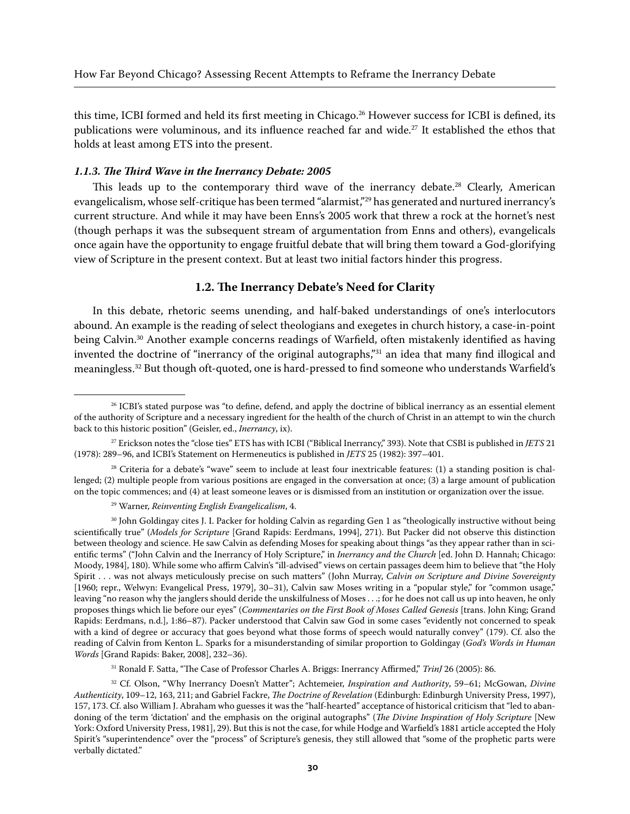this time, ICBI formed and held its first meeting in Chicago.26 However success for ICBI is defined, its publications were voluminous, and its influence reached far and wide.<sup>27</sup> It established the ethos that holds at least among ETS into the present.

#### *1.1.3. The Third Wave in the Inerrancy Debate: 2005*

This leads up to the contemporary third wave of the inerrancy debate.<sup>28</sup> Clearly, American evangelicalism, whose self-critique has been termed "alarmist,"29 has generated and nurtured inerrancy's current structure. And while it may have been Enns's 2005 work that threw a rock at the hornet's nest (though perhaps it was the subsequent stream of argumentation from Enns and others), evangelicals once again have the opportunity to engage fruitful debate that will bring them toward a God-glorifying view of Scripture in the present context. But at least two initial factors hinder this progress.

#### **1.2. The Inerrancy Debate's Need for Clarity**

In this debate, rhetoric seems unending, and half-baked understandings of one's interlocutors abound. An example is the reading of select theologians and exegetes in church history, a case-in-point being Calvin.30 Another example concerns readings of Warfield, often mistakenly identified as having invented the doctrine of "inerrancy of the original autographs,"31 an idea that many find illogical and meaningless.32 But though oft-quoted, one is hard-pressed to find someone who understands Warfield's

31 Ronald F. Satta, "The Case of Professor Charles A. Briggs: Inerrancy Affirmed," *TrinJ* 26 (2005): 86.

<sup>&</sup>lt;sup>26</sup> ICBI's stated purpose was "to define, defend, and apply the doctrine of biblical inerrancy as an essential element of the authority of Scripture and a necessary ingredient for the health of the church of Christ in an attempt to win the church back to this historic position" (Geisler, ed., *Inerrancy*, ix).

<sup>27</sup> Erickson notes the "close ties" ETS has with ICBI ("Biblical Inerrancy," 393). Note that CSBI is published in *JETS* 21 (1978): 289–96, and ICBI's Statement on Hermeneutics is published in *JETS* 25 (1982): 397–401.

 $28$  Criteria for a debate's "wave" seem to include at least four inextricable features: (1) a standing position is challenged; (2) multiple people from various positions are engaged in the conversation at once; (3) a large amount of publication on the topic commences; and (4) at least someone leaves or is dismissed from an institution or organization over the issue.

<sup>29</sup> Warner, *Reinventing English Evangelicalism*, 4.

<sup>&</sup>lt;sup>30</sup> John Goldingay cites J. I. Packer for holding Calvin as regarding Gen 1 as "theologically instructive without being scientifically true" (*Models for Scripture* [Grand Rapids: Eerdmans, 1994], 271). But Packer did not observe this distinction between theology and science. He saw Calvin as defending Moses for speaking about things "as they appear rather than in scientific terms" ("John Calvin and the Inerrancy of Holy Scripture," in *Inerrancy and the Church* [ed. John D. Hannah; Chicago: Moody, 1984], 180). While some who affirm Calvin's "ill-advised" views on certain passages deem him to believe that "the Holy Spirit . . . was not always meticulously precise on such matters" (John Murray, *Calvin on Scripture and Divine Sovereignty*  [1960; repr., Welwyn: Evangelical Press, 1979], 30–31), Calvin saw Moses writing in a "popular style," for "common usage," leaving "no reason why the janglers should deride the unskilfulness of Moses . . .; for he does not call us up into heaven, he only proposes things which lie before our eyes" (*Commentaries on the First Book of Moses Called Genesis* [trans. John King; Grand Rapids: Eerdmans, n.d.], 1:86–87). Packer understood that Calvin saw God in some cases "evidently not concerned to speak with a kind of degree or accuracy that goes beyond what those forms of speech would naturally convey" (179). Cf. also the reading of Calvin from Kenton L. Sparks for a misunderstanding of similar proportion to Goldingay (*God's Words in Human Words* [Grand Rapids: Baker, 2008], 232–36).

<sup>32</sup> Cf. Olson, "Why Inerrancy Doesn't Matter"; Achtemeier, *Inspiration and Authority*, 59–61; McGowan, *Divine Authenticity*, 109–12, 163, 211; and Gabriel Fackre, *The Doctrine of Revelation* (Edinburgh: Edinburgh University Press, 1997), 157, 173. Cf. also William J. Abraham who guesses it was the "half-hearted" acceptance of historical criticism that "led to abandoning of the term 'dictation' and the emphasis on the original autographs" (*The Divine Inspiration of Holy Scripture* [New York: Oxford University Press, 1981], 29). But this is not the case, for while Hodge and Warfield's 1881 article accepted the Holy Spirit's "superintendence" over the "process" of Scripture's genesis, they still allowed that "some of the prophetic parts were verbally dictated."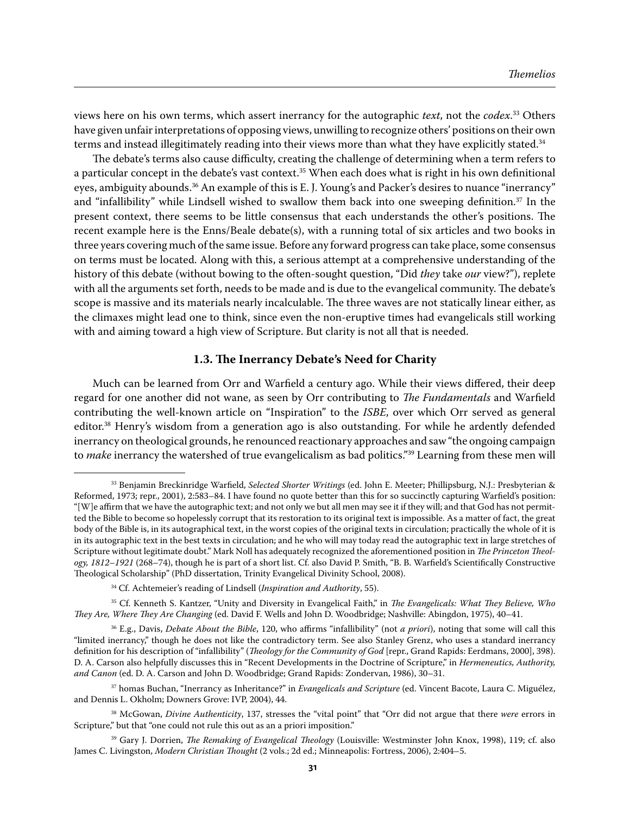views here on his own terms, which assert inerrancy for the autographic *text*, not the *codex*. 33 Others have given unfair interpretations of opposing views, unwilling to recognize others' positions on their own terms and instead illegitimately reading into their views more than what they have explicitly stated.<sup>34</sup>

The debate's terms also cause difficulty, creating the challenge of determining when a term refers to a particular concept in the debate's vast context.<sup>35</sup> When each does what is right in his own definitional eyes, ambiguity abounds.<sup>36</sup> An example of this is E.J. Young's and Packer's desires to nuance "inerrancy" and "infallibility" while Lindsell wished to swallow them back into one sweeping definition.<sup>37</sup> In the present context, there seems to be little consensus that each understands the other's positions. The recent example here is the Enns/Beale debate(s), with a running total of six articles and two books in three years covering much of the same issue. Before any forward progress can take place, some consensus on terms must be located. Along with this, a serious attempt at a comprehensive understanding of the history of this debate (without bowing to the often-sought question, "Did *they* take *our* view?"), replete with all the arguments set forth, needs to be made and is due to the evangelical community. The debate's scope is massive and its materials nearly incalculable. The three waves are not statically linear either, as the climaxes might lead one to think, since even the non-eruptive times had evangelicals still working with and aiming toward a high view of Scripture. But clarity is not all that is needed.

### **1.3. The Inerrancy Debate's Need for Charity**

Much can be learned from Orr and Warfield a century ago. While their views differed, their deep regard for one another did not wane, as seen by Orr contributing to *The Fundamentals* and Warfield contributing the well-known article on "Inspiration" to the *ISBE*, over which Orr served as general editor.<sup>38</sup> Henry's wisdom from a generation ago is also outstanding. For while he ardently defended inerrancy on theological grounds, he renounced reactionary approaches and saw "the ongoing campaign to *make* inerrancy the watershed of true evangelicalism as bad politics."<sup>39</sup> Learning from these men will

<sup>33</sup> Benjamin Breckinridge Warfield, *Selected Shorter Writings* (ed. John E. Meeter; Phillipsburg, N.J.: Presbyterian & Reformed, 1973; repr., 2001), 2:583–84. I have found no quote better than this for so succinctly capturing Warfield's position: "[W]e affirm that we have the autographic text; and not only we but all men may see it if they will; and that God has not permitted the Bible to become so hopelessly corrupt that its restoration to its original text is impossible. As a matter of fact, the great body of the Bible is, in its autographical text, in the worst copies of the original texts in circulation; practically the whole of it is in its autographic text in the best texts in circulation; and he who will may today read the autographic text in large stretches of Scripture without legitimate doubt." Mark Noll has adequately recognized the aforementioned position in *The Princeton Theology, 1812–1921* (268–74), though he is part of a short list. Cf. also David P. Smith, "B. B. Warfield's Scientifically Constructive Theological Scholarship" (PhD dissertation, Trinity Evangelical Divinity School, 2008).

<sup>34</sup> Cf. Achtemeier's reading of Lindsell (*Inspiration and Authority*, 55).

<sup>35</sup> Cf. Kenneth S. Kantzer, "Unity and Diversity in Evangelical Faith," in *The Evangelicals: What They Believe, Who They Are, Where They Are Changing* (ed. David F. Wells and John D. Woodbridge; Nashville: Abingdon, 1975), 40–41.

<sup>36</sup> E.g., Davis, *Debate About the Bible*, 120, who affirms "infallibility" (not *a priori*), noting that some will call this "limited inerrancy," though he does not like the contradictory term. See also Stanley Grenz, who uses a standard inerrancy definition for his description of "infallibility" (*Theology for the Community of God* [repr., Grand Rapids: Eerdmans, 2000], 398). D. A. Carson also helpfully discusses this in "Recent Developments in the Doctrine of Scripture," in *Hermeneutics, Authority, and Canon* (ed. D. A. Carson and John D. Woodbridge; Grand Rapids: Zondervan, 1986), 30–31.

<sup>37</sup> homas Buchan, "Inerrancy as Inheritance?" in *Evangelicals and Scripture* (ed. Vincent Bacote, Laura C. Miguélez, and Dennis L. Okholm; Downers Grove: IVP, 2004), 44.

<sup>38</sup> McGowan, *Divine Authenticity*, 137, stresses the "vital point" that "Orr did not argue that there *were* errors in Scripture," but that "one could not rule this out as an a priori imposition."

<sup>39</sup> Gary J. Dorrien, *The Remaking of Evangelical Theology* (Louisville: Westminster John Knox, 1998), 119; cf. also James C. Livingston, *Modern Christian Thought* (2 vols.; 2d ed.; Minneapolis: Fortress, 2006), 2:404–5.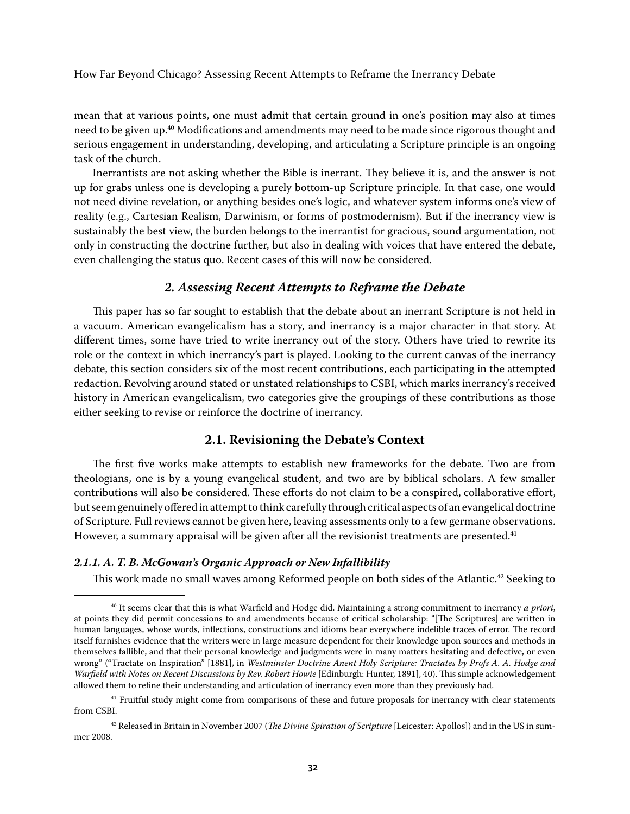mean that at various points, one must admit that certain ground in one's position may also at times need to be given up.<sup>40</sup> Modifications and amendments may need to be made since rigorous thought and serious engagement in understanding, developing, and articulating a Scripture principle is an ongoing task of the church.

Inerrantists are not asking whether the Bible is inerrant. They believe it is, and the answer is not up for grabs unless one is developing a purely bottom-up Scripture principle. In that case, one would not need divine revelation, or anything besides one's logic, and whatever system informs one's view of reality (e.g., Cartesian Realism, Darwinism, or forms of postmodernism). But if the inerrancy view is sustainably the best view, the burden belongs to the inerrantist for gracious, sound argumentation, not only in constructing the doctrine further, but also in dealing with voices that have entered the debate, even challenging the status quo. Recent cases of this will now be considered.

#### *2. Assessing Recent Attempts to Reframe the Debate*

This paper has so far sought to establish that the debate about an inerrant Scripture is not held in a vacuum. American evangelicalism has a story, and inerrancy is a major character in that story. At different times, some have tried to write inerrancy out of the story. Others have tried to rewrite its role or the context in which inerrancy's part is played. Looking to the current canvas of the inerrancy debate, this section considers six of the most recent contributions, each participating in the attempted redaction. Revolving around stated or unstated relationships to CSBI, which marks inerrancy's received history in American evangelicalism, two categories give the groupings of these contributions as those either seeking to revise or reinforce the doctrine of inerrancy.

#### **2.1. Revisioning the Debate's Context**

The first five works make attempts to establish new frameworks for the debate. Two are from theologians, one is by a young evangelical student, and two are by biblical scholars. A few smaller contributions will also be considered. These efforts do not claim to be a conspired, collaborative effort, but seem genuinely offered in attempt to think carefully through critical aspects of an evangelical doctrine of Scripture. Full reviews cannot be given here, leaving assessments only to a few germane observations. However, a summary appraisal will be given after all the revisionist treatments are presented.<sup>41</sup>

#### *2.1.1. A. T. B. McGowan's Organic Approach or New Infallibility*

This work made no small waves among Reformed people on both sides of the Atlantic.<sup>42</sup> Seeking to

<sup>40</sup> It seems clear that this is what Warfield and Hodge did. Maintaining a strong commitment to inerrancy *a priori*, at points they did permit concessions to and amendments because of critical scholarship: "[The Scriptures] are written in human languages, whose words, inflections, constructions and idioms bear everywhere indelible traces of error. The record itself furnishes evidence that the writers were in large measure dependent for their knowledge upon sources and methods in themselves fallible, and that their personal knowledge and judgments were in many matters hesitating and defective, or even wrong" ("Tractate on Inspiration" [1881], in *Westminster Doctrine Anent Holy Scripture: Tractates by Profs A. A. Hodge and Warfield with Notes on Recent Discussions by Rev. Robert Howie* [Edinburgh: Hunter, 1891], 40). This simple acknowledgement allowed them to refine their understanding and articulation of inerrancy even more than they previously had.

 $41$  Fruitful study might come from comparisons of these and future proposals for inerrancy with clear statements from CSBI.

<sup>42</sup> Released in Britain in November 2007 (*The Divine Spiration of Scripture* [Leicester: Apollos]) and in the US in summer 2008.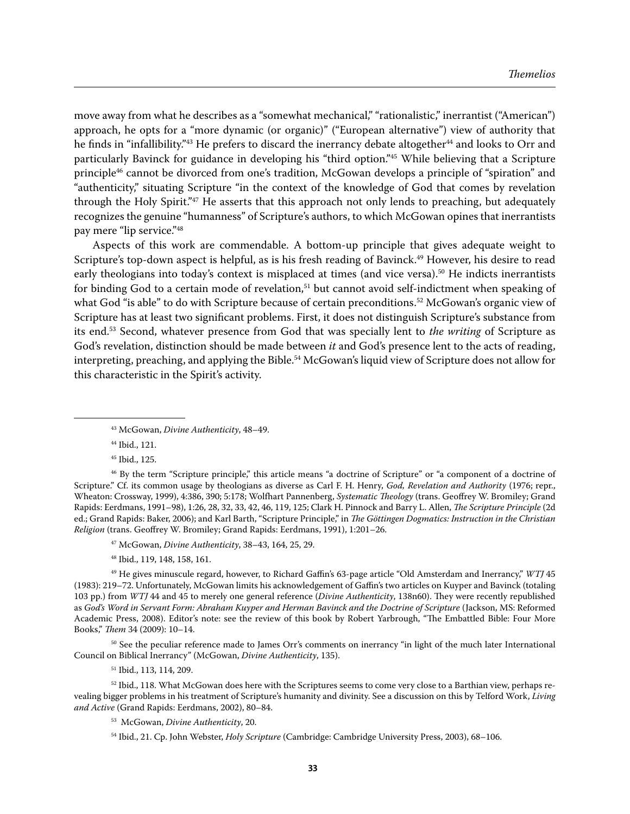move away from what he describes as a "somewhat mechanical," "rationalistic," inerrantist ("American") approach, he opts for a "more dynamic (or organic)" ("European alternative") view of authority that he finds in "infallibility."<sup>43</sup> He prefers to discard the inerrancy debate altogether<sup>44</sup> and looks to Orr and particularly Bavinck for guidance in developing his "third option."45 While believing that a Scripture principle<sup>46</sup> cannot be divorced from one's tradition, McGowan develops a principle of "spiration" and "authenticity," situating Scripture "in the context of the knowledge of God that comes by revelation through the Holy Spirit."47 He asserts that this approach not only lends to preaching, but adequately recognizes the genuine "humanness" of Scripture's authors, to which McGowan opines that inerrantists pay mere "lip service."48

Aspects of this work are commendable. A bottom-up principle that gives adequate weight to Scripture's top-down aspect is helpful, as is his fresh reading of Bavinck.49 However, his desire to read early theologians into today's context is misplaced at times (and vice versa).<sup>50</sup> He indicts inerrantists for binding God to a certain mode of revelation,<sup>51</sup> but cannot avoid self-indictment when speaking of what God "is able" to do with Scripture because of certain preconditions.<sup>52</sup> McGowan's organic view of Scripture has at least two significant problems. First, it does not distinguish Scripture's substance from its end.53 Second, whatever presence from God that was specially lent to *the writing* of Scripture as God's revelation, distinction should be made between *it* and God's presence lent to the acts of reading, interpreting, preaching, and applying the Bible.54 McGowan's liquid view of Scripture does not allow for this characteristic in the Spirit's activity.

44 Ibid., 121.

45 Ibid., 125.

46 By the term "Scripture principle," this article means "a doctrine of Scripture" or "a component of a doctrine of Scripture." Cf. its common usage by theologians as diverse as Carl F. H. Henry, *God, Revelation and Authority* (1976; repr., Wheaton: Crossway, 1999), 4:386, 390; 5:178; Wolfhart Pannenberg, *Systematic Theology* (trans. Geoffrey W. Bromiley; Grand Rapids: Eerdmans, 1991–98), 1:26, 28, 32, 33, 42, 46, 119, 125; Clark H. Pinnock and Barry L. Allen, *The Scripture Principle* (2d ed.; Grand Rapids: Baker, 2006); and Karl Barth, "Scripture Principle," in *The Göttingen Dogmatics: Instruction in the Christian Religion* (trans. Geoffrey W. Bromiley; Grand Rapids: Eerdmans, 1991), 1:201–26.

47 McGowan, *Divine Authenticity*, 38–43, 164, 25, 29.

48 Ibid., 119, 148, 158, 161.

49 He gives minuscule regard, however, to Richard Gaffin's 63-page article "Old Amsterdam and Inerrancy," *WTJ* 45 (1983): 219–72. Unfortunately, McGowan limits his acknowledgement of Gaffin's two articles on Kuyper and Bavinck (totaling 103 pp.) from *WTJ* 44 and 45 to merely one general reference (*Divine Authenticity*, 138n60). They were recently republished as *God's Word in Servant Form: Abraham Kuyper and Herman Bavinck and the Doctrine of Scripture* (Jackson, MS: Reformed Academic Press, 2008). Editor's note: see the review of this book by Robert Yarbrough, "The Embattled Bible: Four More Books," *Them* 34 (2009): 10–14.

<sup>50</sup> See the peculiar reference made to James Orr's comments on inerrancy "in light of the much later International Council on Biblical Inerrancy" (McGowan, *Divine Authenticity*, 135).

51 Ibid., 113, 114, 209.

 $52$  Ibid., 118. What McGowan does here with the Scriptures seems to come very close to a Barthian view, perhaps revealing bigger problems in his treatment of Scripture's humanity and divinity. See a discussion on this by Telford Work, *Living and Active* (Grand Rapids: Eerdmans, 2002), 80–84.

53 McGowan, *Divine Authenticity*, 20.

<sup>43</sup> McGowan, *Divine Authenticity*, 48–49.

<sup>54</sup> Ibid., 21. Cp. John Webster, *Holy Scripture* (Cambridge: Cambridge University Press, 2003), 68–106.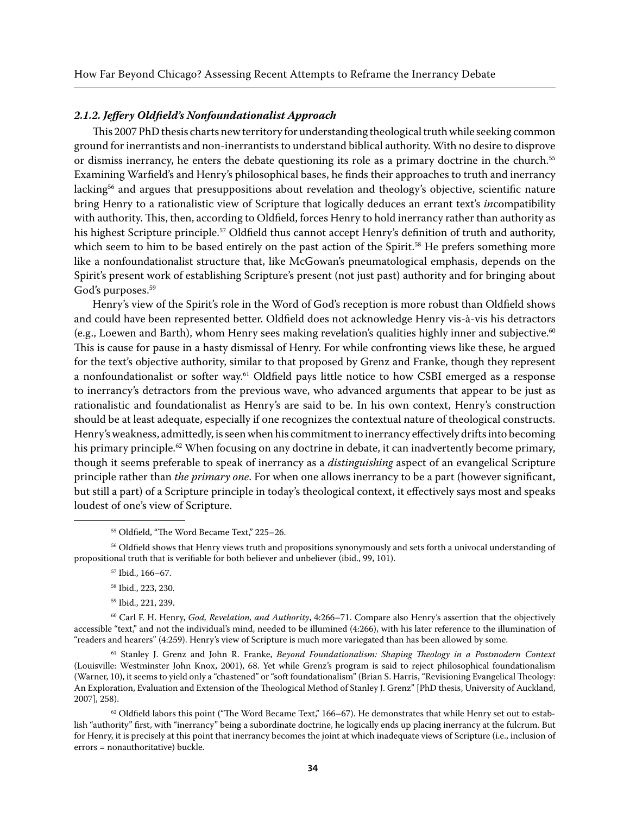#### *2.1.2. Jeffery Oldfield's Nonfoundationalist Approach*

This 2007 PhD thesis charts new territory for understanding theological truth while seeking common ground for inerrantists and non-inerrantists to understand biblical authority. With no desire to disprove or dismiss inerrancy, he enters the debate questioning its role as a primary doctrine in the church.55 Examining Warfield's and Henry's philosophical bases, he finds their approaches to truth and inerrancy lacking<sup>56</sup> and argues that presuppositions about revelation and theology's objective, scientific nature bring Henry to a rationalistic view of Scripture that logically deduces an errant text's *in*compatibility with authority. This, then, according to Oldfield, forces Henry to hold inerrancy rather than authority as his highest Scripture principle.<sup>57</sup> Oldfield thus cannot accept Henry's definition of truth and authority, which seem to him to be based entirely on the past action of the Spirit.<sup>58</sup> He prefers something more like a nonfoundationalist structure that, like McGowan's pneumatological emphasis, depends on the Spirit's present work of establishing Scripture's present (not just past) authority and for bringing about God's purposes.<sup>59</sup>

Henry's view of the Spirit's role in the Word of God's reception is more robust than Oldfield shows and could have been represented better. Oldfield does not acknowledge Henry vis-à-vis his detractors (e.g., Loewen and Barth), whom Henry sees making revelation's qualities highly inner and subjective.<sup>60</sup> This is cause for pause in a hasty dismissal of Henry. For while confronting views like these, he argued for the text's objective authority, similar to that proposed by Grenz and Franke, though they represent a nonfoundationalist or softer way.61 Oldfield pays little notice to how CSBI emerged as a response to inerrancy's detractors from the previous wave, who advanced arguments that appear to be just as rationalistic and foundationalist as Henry's are said to be. In his own context, Henry's construction should be at least adequate, especially if one recognizes the contextual nature of theological constructs. Henry's weakness, admittedly, is seen when his commitment to inerrancy effectively drifts into becoming his primary principle.<sup>62</sup> When focusing on any doctrine in debate, it can inadvertently become primary, though it seems preferable to speak of inerrancy as a *distinguishing* aspect of an evangelical Scripture principle rather than *the primary one*. For when one allows inerrancy to be a part (however significant, but still a part) of a Scripture principle in today's theological context, it effectively says most and speaks loudest of one's view of Scripture.

61 Stanley J. Grenz and John R. Franke, *Beyond Foundationalism: Shaping Theology in a Postmodern Context*  (Louisville: Westminster John Knox, 2001), 68. Yet while Grenz's program is said to reject philosophical foundationalism (Warner, 10), it seems to yield only a "chastened" or "soft foundationalism" (Brian S. Harris, "Revisioning Evangelical Theology: An Exploration, Evaluation and Extension of the Theological Method of Stanley J. Grenz" [PhD thesis, University of Auckland, 2007], 258).

 $62$  Oldfield labors this point ("The Word Became Text," 166–67). He demonstrates that while Henry set out to establish "authority" first, with "inerrancy" being a subordinate doctrine, he logically ends up placing inerrancy at the fulcrum. But for Henry, it is precisely at this point that inerrancy becomes the joint at which inadequate views of Scripture (i.e., inclusion of errors = nonauthoritative) buckle.

<sup>&</sup>lt;sup>55</sup> Oldfield, "The Word Became Text," 225-26.

<sup>56</sup> Oldfield shows that Henry views truth and propositions synonymously and sets forth a univocal understanding of propositional truth that is verifiable for both believer and unbeliever (ibid., 99, 101).

<sup>57</sup> Ibid., 166–67.

<sup>58</sup> Ibid., 223, 230.

<sup>59</sup> Ibid., 221, 239.

<sup>60</sup> Carl F. H. Henry, *God, Revelation, and Authority*, 4:266–71. Compare also Henry's assertion that the objectively accessible "text," and not the individual's mind, needed to be illumined (4:266), with his later reference to the illumination of "readers and hearers" (4:259). Henry's view of Scripture is much more variegated than has been allowed by some.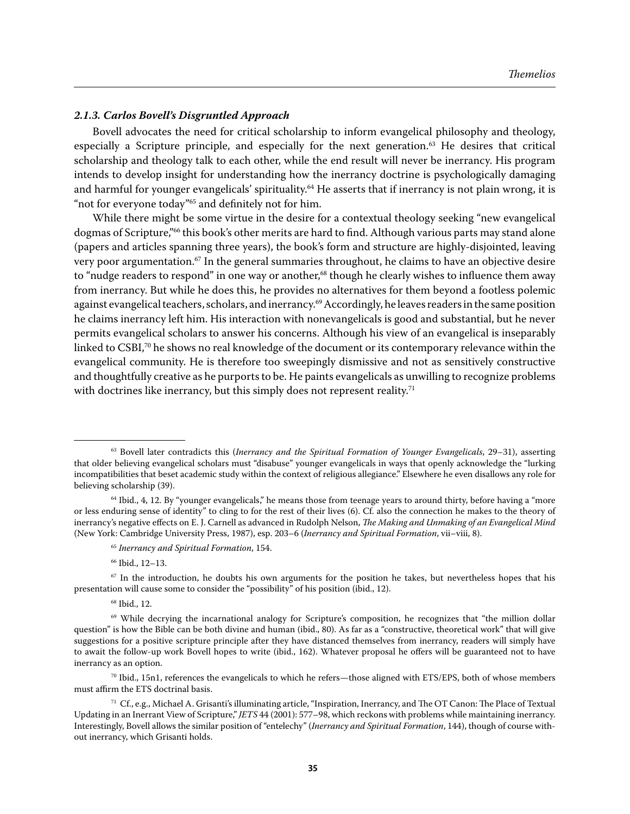#### *2.1.3. Carlos Bovell's Disgruntled Approach*

Bovell advocates the need for critical scholarship to inform evangelical philosophy and theology, especially a Scripture principle, and especially for the next generation.<sup>63</sup> He desires that critical scholarship and theology talk to each other, while the end result will never be inerrancy. His program intends to develop insight for understanding how the inerrancy doctrine is psychologically damaging and harmful for younger evangelicals' spirituality.<sup>64</sup> He asserts that if inerrancy is not plain wrong, it is "not for everyone today"65 and definitely not for him.

While there might be some virtue in the desire for a contextual theology seeking "new evangelical dogmas of Scripture,"66 this book's other merits are hard to find. Although various parts may stand alone (papers and articles spanning three years), the book's form and structure are highly-disjointed, leaving very poor argumentation.<sup>67</sup> In the general summaries throughout, he claims to have an objective desire to "nudge readers to respond" in one way or another,<sup>68</sup> though he clearly wishes to influence them away from inerrancy. But while he does this, he provides no alternatives for them beyond a footless polemic against evangelical teachers, scholars, and inerrancy.<sup>69</sup> Accordingly, he leaves readers in the same position he claims inerrancy left him. His interaction with nonevangelicals is good and substantial, but he never permits evangelical scholars to answer his concerns. Although his view of an evangelical is inseparably linked to  $CSBI<sub>1</sub><sup>70</sup>$  he shows no real knowledge of the document or its contemporary relevance within the evangelical community. He is therefore too sweepingly dismissive and not as sensitively constructive and thoughtfully creative as he purports to be. He paints evangelicals as unwilling to recognize problems with doctrines like inerrancy, but this simply does not represent reality.<sup>71</sup>

<sup>&</sup>lt;sup>63</sup> Bovell later contradicts this (*Inerrancy and the Spiritual Formation of Younger Evangelicals*, 29–31), asserting that older believing evangelical scholars must "disabuse" younger evangelicals in ways that openly acknowledge the "lurking incompatibilities that beset academic study within the context of religious allegiance." Elsewhere he even disallows any role for believing scholarship (39).

<sup>&</sup>lt;sup>64</sup> Ibid., 4, 12. By "younger evangelicals," he means those from teenage years to around thirty, before having a "more or less enduring sense of identity" to cling to for the rest of their lives (6). Cf. also the connection he makes to the theory of inerrancy's negative effects on E. J. Carnell as advanced in Rudolph Nelson, *The Making and Unmaking of an Evangelical Mind*  (New York: Cambridge University Press, 1987), esp. 203–6 (*Inerrancy and Spiritual Formation*, vii–viii, 8).

<sup>65</sup> *Inerrancy and Spiritual Formation*, 154.

<sup>66</sup> Ibid., 12–13.

<sup>&</sup>lt;sup>67</sup> In the introduction, he doubts his own arguments for the position he takes, but nevertheless hopes that his presentation will cause some to consider the "possibility" of his position (ibid., 12).

<sup>68</sup> Ibid., 12.

<sup>&</sup>lt;sup>69</sup> While decrying the incarnational analogy for Scripture's composition, he recognizes that "the million dollar question" is how the Bible can be both divine and human (ibid., 80). As far as a "constructive, theoretical work" that will give suggestions for a positive scripture principle after they have distanced themselves from inerrancy, readers will simply have to await the follow-up work Bovell hopes to write (ibid., 162). Whatever proposal he offers will be guaranteed not to have inerrancy as an option.

<sup>70</sup> Ibid., 15n1, references the evangelicals to which he refers—those aligned with ETS/EPS, both of whose members must affirm the ETS doctrinal basis.

 $71$  Cf., e.g., Michael A. Grisanti's illuminating article, "Inspiration, Inerrancy, and The OT Canon: The Place of Textual Updating in an Inerrant View of Scripture," *JETS* 44 (2001): 577–98, which reckons with problems while maintaining inerrancy. Interestingly, Bovell allows the similar position of "entelechy" (*Inerrancy and Spiritual Formation*, 144), though of course without inerrancy, which Grisanti holds.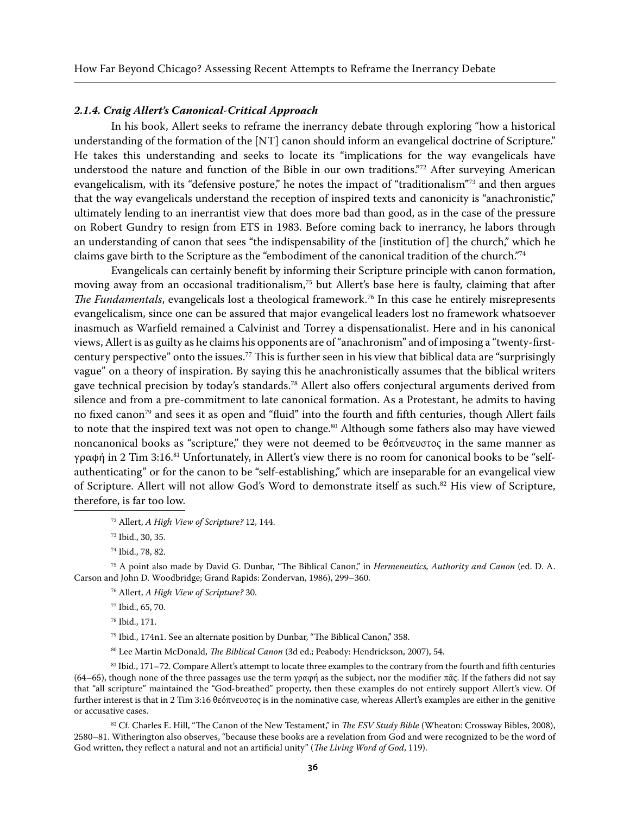#### *2.1.4. Craig Allert's Canonical-Critical Approach*

In his book, Allert seeks to reframe the inerrancy debate through exploring "how a historical understanding of the formation of the [NT] canon should inform an evangelical doctrine of Scripture." He takes this understanding and seeks to locate its "implications for the way evangelicals have understood the nature and function of the Bible in our own traditions."72 After surveying American evangelicalism, with its "defensive posture," he notes the impact of "traditionalism"73 and then argues that the way evangelicals understand the reception of inspired texts and canonicity is "anachronistic," ultimately lending to an inerrantist view that does more bad than good, as in the case of the pressure on Robert Gundry to resign from ETS in 1983. Before coming back to inerrancy, he labors through an understanding of canon that sees "the indispensability of the [institution of] the church," which he claims gave birth to the Scripture as the "embodiment of the canonical tradition of the church."74

Evangelicals can certainly benefit by informing their Scripture principle with canon formation, moving away from an occasional traditionalism,75 but Allert's base here is faulty, claiming that after *The Fundamentals*, evangelicals lost a theological framework.76 In this case he entirely misrepresents evangelicalism, since one can be assured that major evangelical leaders lost no framework whatsoever inasmuch as Warfield remained a Calvinist and Torrey a dispensationalist. Here and in his canonical views, Allert is as guilty as he claims his opponents are of "anachronism" and of imposing a "twenty-firstcentury perspective" onto the issues.<sup>77</sup> This is further seen in his view that biblical data are "surprisingly" vague" on a theory of inspiration. By saying this he anachronistically assumes that the biblical writers gave technical precision by today's standards.<sup>78</sup> Allert also offers conjectural arguments derived from silence and from a pre-commitment to late canonical formation. As a Protestant, he admits to having no fixed canon<sup>79</sup> and sees it as open and "fluid" into the fourth and fifth centuries, though Allert fails to note that the inspired text was not open to change.<sup>80</sup> Although some fathers also may have viewed noncanonical books as "scripture," they were not deemed to be θεόπνευστος in the same manner as γραφή in 2 Tim 3:16.81 Unfortunately, in Allert's view there is no room for canonical books to be "selfauthenticating" or for the canon to be "self-establishing," which are inseparable for an evangelical view of Scripture. Allert will not allow God's Word to demonstrate itself as such.82 His view of Scripture, therefore, is far too low.

75 A point also made by David G. Dunbar, "The Biblical Canon," in *Hermeneutics, Authority and Canon* (ed. D. A. Carson and John D. Woodbridge; Grand Rapids: Zondervan, 1986), 299–360.

76 Allert, *A High View of Scripture?* 30.

77 Ibid., 65, 70.

78 Ibid., 171.

79 Ibid., 174n1. See an alternate position by Dunbar, "The Biblical Canon," 358.

80 Lee Martin McDonald, *The Biblical Canon* (3d ed.; Peabody: Hendrickson, 2007), 54.

81 Ibid., 171-72. Compare Allert's attempt to locate three examples to the contrary from the fourth and fifth centuries (64–65), though none of the three passages use the term γραφή as the subject, nor the modifier πᾶς. If the fathers did not say that "all scripture" maintained the "God-breathed" property, then these examples do not entirely support Allert's view. Of further interest is that in 2 Tim 3:16 θεόπνευστος is in the nominative case, whereas Allert's examples are either in the genitive or accusative cases.

82 Cf. Charles E. Hill, "The Canon of the New Testament," in *The ESV Study Bible* (Wheaton: Crossway Bibles, 2008), 2580–81. Witherington also observes, "because these books are a revelation from God and were recognized to be the word of God written, they reflect a natural and not an artificial unity" (*The Living Word of God*, 119).

<sup>72</sup> Allert, *A High View of Scripture?* 12, 144.

<sup>73</sup> Ibid., 30, 35.

<sup>74</sup> Ibid., 78, 82.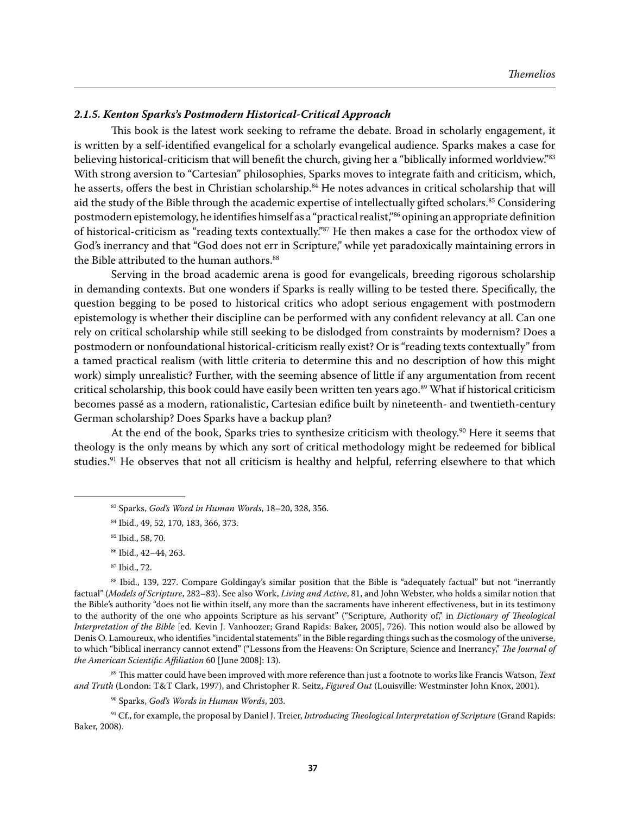#### *2.1.5. Kenton Sparks's Postmodern Historical-Critical Approach*

This book is the latest work seeking to reframe the debate. Broad in scholarly engagement, it is written by a self-identified evangelical for a scholarly evangelical audience. Sparks makes a case for believing historical-criticism that will benefit the church, giving her a "biblically informed worldview."83 With strong aversion to "Cartesian" philosophies, Sparks moves to integrate faith and criticism, which, he asserts, offers the best in Christian scholarship.<sup>84</sup> He notes advances in critical scholarship that will aid the study of the Bible through the academic expertise of intellectually gifted scholars.<sup>85</sup> Considering postmodern epistemology, he identifies himself as a "practical realist,"86 opining an appropriate definition of historical-criticism as "reading texts contextually."87 He then makes a case for the orthodox view of God's inerrancy and that "God does not err in Scripture," while yet paradoxically maintaining errors in the Bible attributed to the human authors.<sup>88</sup>

Serving in the broad academic arena is good for evangelicals, breeding rigorous scholarship in demanding contexts. But one wonders if Sparks is really willing to be tested there. Specifically, the question begging to be posed to historical critics who adopt serious engagement with postmodern epistemology is whether their discipline can be performed with any confident relevancy at all. Can one rely on critical scholarship while still seeking to be dislodged from constraints by modernism? Does a postmodern or nonfoundational historical-criticism really exist? Or is "reading texts contextually" from a tamed practical realism (with little criteria to determine this and no description of how this might work) simply unrealistic? Further, with the seeming absence of little if any argumentation from recent critical scholarship, this book could have easily been written ten years ago.<sup>89</sup> What if historical criticism becomes passé as a modern, rationalistic, Cartesian edifice built by nineteenth- and twentieth-century German scholarship? Does Sparks have a backup plan?

At the end of the book, Sparks tries to synthesize criticism with theology.<sup>90</sup> Here it seems that theology is the only means by which any sort of critical methodology might be redeemed for biblical studies.<sup>91</sup> He observes that not all criticism is healthy and helpful, referring elsewhere to that which

88 Ibid., 139, 227. Compare Goldingay's similar position that the Bible is "adequately factual" but not "inerrantly factual" (*Models of Scripture*, 282–83). See also Work, *Living and Active*, 81, and John Webster, who holds a similar notion that the Bible's authority "does not lie within itself, any more than the sacraments have inherent effectiveness, but in its testimony to the authority of the one who appoints Scripture as his servant" ("Scripture, Authority of," in *Dictionary of Theological Interpretation of the Bible* [ed. Kevin J. Vanhoozer; Grand Rapids: Baker, 2005], 726). This notion would also be allowed by Denis O. Lamoureux, who identifies "incidental statements" in the Bible regarding things such as the cosmology of the universe, to which "biblical inerrancy cannot extend" ("Lessons from the Heavens: On Scripture, Science and Inerrancy," *The Journal of the American Scientific Affiliation* 60 [June 2008]: 13).

89 This matter could have been improved with more reference than just a footnote to works like Francis Watson, *Text and Truth* (London: T&T Clark, 1997), and Christopher R. Seitz, *Figured Out* (Louisville: Westminster John Knox, 2001).

90 Sparks, *God's Words in Human Words*, 203.

<sup>91</sup> Cf., for example, the proposal by Daniel J. Treier, *Introducing Theological Interpretation of Scripture* (Grand Rapids: Baker, 2008).

<sup>83</sup> Sparks, *God's Word in Human Words*, 18–20, 328, 356.

<sup>84</sup> Ibid., 49, 52, 170, 183, 366, 373.

<sup>85</sup> Ibid., 58, 70.

<sup>86</sup> Ibid., 42–44, 263.

<sup>87</sup> Ibid., 72.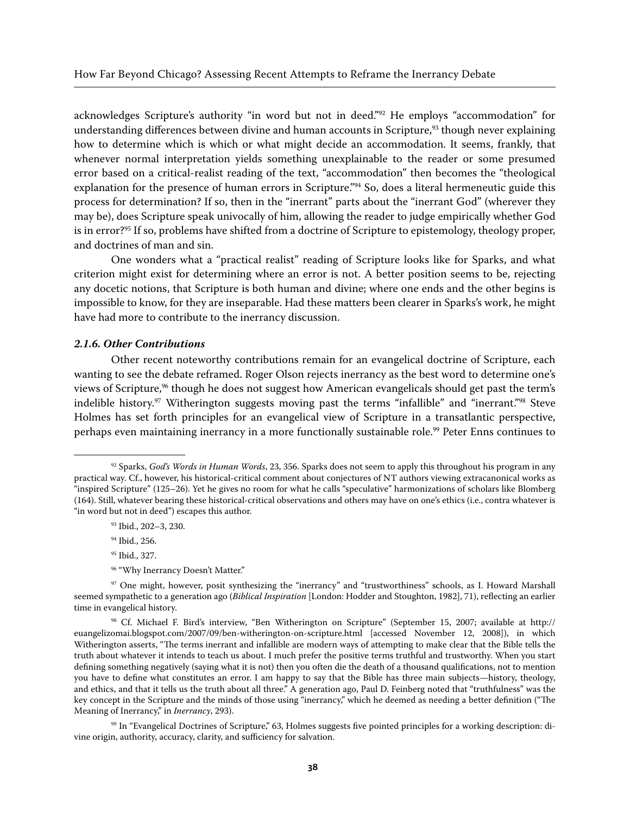acknowledges Scripture's authority "in word but not in deed."92 He employs "accommodation" for understanding differences between divine and human accounts in Scripture,<sup>93</sup> though never explaining how to determine which is which or what might decide an accommodation. It seems, frankly, that whenever normal interpretation yields something unexplainable to the reader or some presumed error based on a critical-realist reading of the text, "accommodation" then becomes the "theological explanation for the presence of human errors in Scripture."<sup>94</sup> So, does a literal hermeneutic guide this process for determination? If so, then in the "inerrant" parts about the "inerrant God" (wherever they may be), does Scripture speak univocally of him, allowing the reader to judge empirically whether God is in error?<sup>95</sup> If so, problems have shifted from a doctrine of Scripture to epistemology, theology proper, and doctrines of man and sin.

One wonders what a "practical realist" reading of Scripture looks like for Sparks, and what criterion might exist for determining where an error is not. A better position seems to be, rejecting any docetic notions, that Scripture is both human and divine; where one ends and the other begins is impossible to know, for they are inseparable. Had these matters been clearer in Sparks's work, he might have had more to contribute to the inerrancy discussion.

#### *2.1.6. Other Contributions*

Other recent noteworthy contributions remain for an evangelical doctrine of Scripture, each wanting to see the debate reframed. Roger Olson rejects inerrancy as the best word to determine one's views of Scripture,<sup>96</sup> though he does not suggest how American evangelicals should get past the term's indelible history.<sup>97</sup> Witherington suggests moving past the terms "infallible" and "inerrant."<sup>98</sup> Steve Holmes has set forth principles for an evangelical view of Scripture in a transatlantic perspective, perhaps even maintaining inerrancy in a more functionally sustainable role.<sup>99</sup> Peter Enns continues to

- 93 Ibid., 202–3, 230.
- 94 Ibid., 256.
- 95 Ibid., 327.
- 96 "Why Inerrancy Doesn't Matter."

<sup>92</sup> Sparks, *God's Words in Human Words*, 23, 356. Sparks does not seem to apply this throughout his program in any practical way. Cf., however, his historical-critical comment about conjectures of NT authors viewing extracanonical works as "inspired Scripture" (125–26). Yet he gives no room for what he calls "speculative" harmonizations of scholars like Blomberg (164). Still, whatever bearing these historical-critical observations and others may have on one's ethics (i.e., contra whatever is "in word but not in deed") escapes this author.

<sup>97</sup> One might, however, posit synthesizing the "inerrancy" and "trustworthiness" schools, as I. Howard Marshall seemed sympathetic to a generation ago (*Biblical Inspiration* [London: Hodder and Stoughton, 1982], 71), reflecting an earlier time in evangelical history.

<sup>98</sup> Cf. Michael F. Bird's interview, "Ben Witherington on Scripture" (September 15, 2007; available at http:// euangelizomai.blogspot.com/2007/09/ben-witherington-on-scripture.html [accessed November 12, 2008]), in which Witherington asserts, "The terms inerrant and infallible are modern ways of attempting to make clear that the Bible tells the truth about whatever it intends to teach us about. I much prefer the positive terms truthful and trustworthy. When you start defining something negatively (saying what it is not) then you often die the death of a thousand qualifications, not to mention you have to define what constitutes an error. I am happy to say that the Bible has three main subjects—history, theology, and ethics, and that it tells us the truth about all three." A generation ago, Paul D. Feinberg noted that "truthfulness" was the key concept in the Scripture and the minds of those using "inerrancy," which he deemed as needing a better definition ("The Meaning of Inerrancy," in *Inerrancy*, 293).

<sup>99</sup> In "Evangelical Doctrines of Scripture," 63, Holmes suggests five pointed principles for a working description: divine origin, authority, accuracy, clarity, and sufficiency for salvation.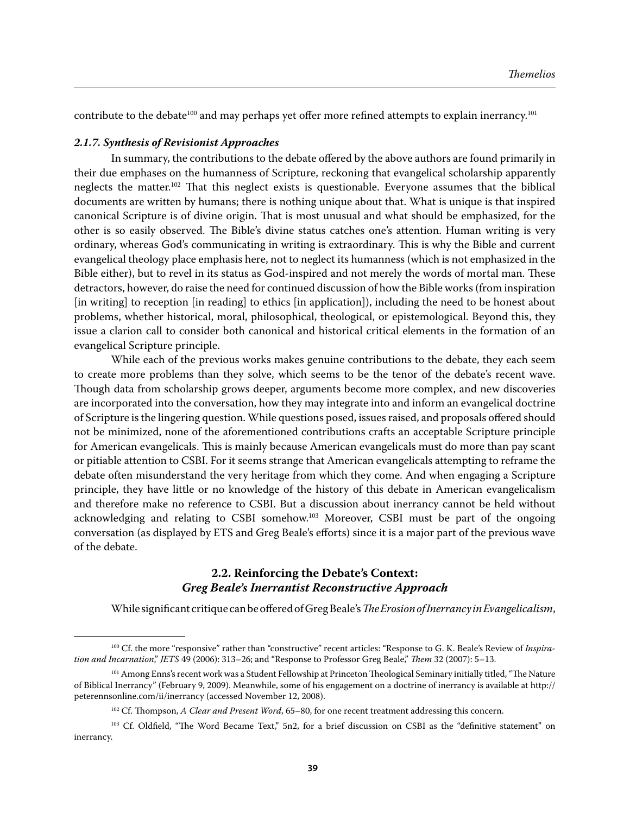contribute to the debate<sup>100</sup> and may perhaps yet offer more refined attempts to explain inerrancy.<sup>101</sup>

#### *2.1.7. Synthesis of Revisionist Approaches*

In summary, the contributions to the debate offered by the above authors are found primarily in their due emphases on the humanness of Scripture, reckoning that evangelical scholarship apparently neglects the matter.102 That this neglect exists is questionable. Everyone assumes that the biblical documents are written by humans; there is nothing unique about that. What is unique is that inspired canonical Scripture is of divine origin. That is most unusual and what should be emphasized, for the other is so easily observed. The Bible's divine status catches one's attention. Human writing is very ordinary, whereas God's communicating in writing is extraordinary. This is why the Bible and current evangelical theology place emphasis here, not to neglect its humanness (which is not emphasized in the Bible either), but to revel in its status as God-inspired and not merely the words of mortal man. These detractors, however, do raise the need for continued discussion of how the Bible works (from inspiration [in writing] to reception [in reading] to ethics [in application]), including the need to be honest about problems, whether historical, moral, philosophical, theological, or epistemological. Beyond this, they issue a clarion call to consider both canonical and historical critical elements in the formation of an evangelical Scripture principle.

While each of the previous works makes genuine contributions to the debate, they each seem to create more problems than they solve, which seems to be the tenor of the debate's recent wave. Though data from scholarship grows deeper, arguments become more complex, and new discoveries are incorporated into the conversation, how they may integrate into and inform an evangelical doctrine of Scripture is the lingering question. While questions posed, issues raised, and proposals offered should not be minimized, none of the aforementioned contributions crafts an acceptable Scripture principle for American evangelicals. This is mainly because American evangelicals must do more than pay scant or pitiable attention to CSBI. For it seems strange that American evangelicals attempting to reframe the debate often misunderstand the very heritage from which they come. And when engaging a Scripture principle, they have little or no knowledge of the history of this debate in American evangelicalism and therefore make no reference to CSBI. But a discussion about inerrancy cannot be held without acknowledging and relating to CSBI somehow.103 Moreover, CSBI must be part of the ongoing conversation (as displayed by ETS and Greg Beale's efforts) since it is a major part of the previous wave of the debate.

# **2.2. Reinforcing the Debate's Context:**  *Greg Beale's Inerrantist Reconstructive Approach*

While significant critique can be offered of Greg Beale's *The Erosion of Inerrancy in Evangelicalism*,

<sup>&</sup>lt;sup>100</sup> Cf. the more "responsive" rather than "constructive" recent articles: "Response to G. K. Beale's Review of *Inspiration and Incarnation*," *JETS* 49 (2006): 313–26; and "Response to Professor Greg Beale," *Them* 32 (2007): 5–13.

<sup>&</sup>lt;sup>101</sup> Among Enns's recent work was a Student Fellowship at Princeton Theological Seminary initially titled, "The Nature of Biblical Inerrancy" (February 9, 2009). Meanwhile, some of his engagement on a doctrine of inerrancy is available at http:// peterennsonline.com/ii/inerrancy (accessed November 12, 2008).

<sup>&</sup>lt;sup>102</sup> Cf. Thompson, *A Clear and Present Word*, 65–80, for one recent treatment addressing this concern.

<sup>&</sup>lt;sup>103</sup> Cf. Oldfield, "The Word Became Text," 5n2, for a brief discussion on CSBI as the "definitive statement" on inerrancy.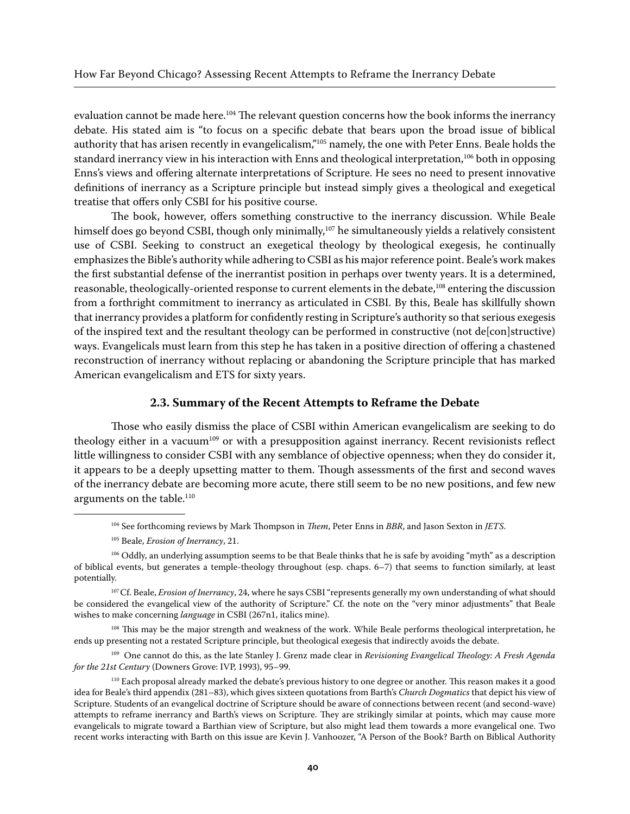evaluation cannot be made here.<sup>104</sup> The relevant question concerns how the book informs the inerrancy debate. His stated aim is "to focus on a specific debate that bears upon the broad issue of biblical authority that has arisen recently in evangelicalism,"105 namely, the one with Peter Enns. Beale holds the standard inerrancy view in his interaction with Enns and theological interpretation,<sup>106</sup> both in opposing Enns's views and offering alternate interpretations of Scripture. He sees no need to present innovative definitions of inerrancy as a Scripture principle but instead simply gives a theological and exegetical treatise that offers only CSBI for his positive course.

The book, however, offers something constructive to the inerrancy discussion. While Beale himself does go beyond CSBI, though only minimally,<sup>107</sup> he simultaneously yields a relatively consistent use of CSBI. Seeking to construct an exegetical theology by theological exegesis, he continually emphasizes the Bible's authority while adhering to CSBI as his major reference point. Beale's work makes the first substantial defense of the inerrantist position in perhaps over twenty years. It is a determined, reasonable, theologically-oriented response to current elements in the debate,<sup>108</sup> entering the discussion from a forthright commitment to inerrancy as articulated in CSBI. By this, Beale has skillfully shown that inerrancy provides a platform for confidently resting in Scripture's authority so that serious exegesis of the inspired text and the resultant theology can be performed in constructive (not de[con]structive) ways. Evangelicals must learn from this step he has taken in a positive direction of offering a chastened reconstruction of inerrancy without replacing or abandoning the Scripture principle that has marked American evangelicalism and ETS for sixty years.

#### **2.3. Summary of the Recent Attempts to Reframe the Debate**

Those who easily dismiss the place of CSBI within American evangelicalism are seeking to do theology either in a vacuum<sup>109</sup> or with a presupposition against inerrancy. Recent revisionists reflect little willingness to consider CSBI with any semblance of objective openness; when they do consider it, it appears to be a deeply upsetting matter to them. Though assessments of the first and second waves of the inerrancy debate are becoming more acute, there still seem to be no new positions, and few new arguments on the table.<sup>110</sup>

<sup>108</sup> This may be the major strength and weakness of the work. While Beale performs theological interpretation, he ends up presenting not a restated Scripture principle, but theological exegesis that indirectly avoids the debate.

109 One cannot do this, as the late Stanley J. Grenz made clear in *Revisioning Evangelical Theology: A Fresh Agenda for the 21st Century* (Downers Grove: IVP, 1993), 95–99.

<sup>104</sup> See forthcoming reviews by Mark Thompson in *Them*, Peter Enns in *BBR*, and Jason Sexton in *JETS*.

<sup>105</sup> Beale, *Erosion of Inerrancy*, 21.

<sup>&</sup>lt;sup>106</sup> Oddly, an underlying assumption seems to be that Beale thinks that he is safe by avoiding "myth" as a description of biblical events, but generates a temple-theology throughout (esp. chaps. 6–7) that seems to function similarly, at least potentially.

<sup>&</sup>lt;sup>107</sup> Cf. Beale, *Erosion of Inerrancy*, 24, where he says CSBI "represents generally my own understanding of what should be considered the evangelical view of the authority of Scripture." Cf. the note on the "very minor adjustments" that Beale wishes to make concerning *language* in CSBI (267n1, italics mine).

<sup>110</sup> Each proposal already marked the debate's previous history to one degree or another. This reason makes it a good idea for Beale's third appendix (281–83), which gives sixteen quotations from Barth's *Church Dogmatics* that depict his view of Scripture. Students of an evangelical doctrine of Scripture should be aware of connections between recent (and second-wave) attempts to reframe inerrancy and Barth's views on Scripture. They are strikingly similar at points, which may cause more evangelicals to migrate toward a Barthian view of Scripture, but also might lead them towards a more evangelical one. Two recent works interacting with Barth on this issue are Kevin J. Vanhoozer, "A Person of the Book? Barth on Biblical Authority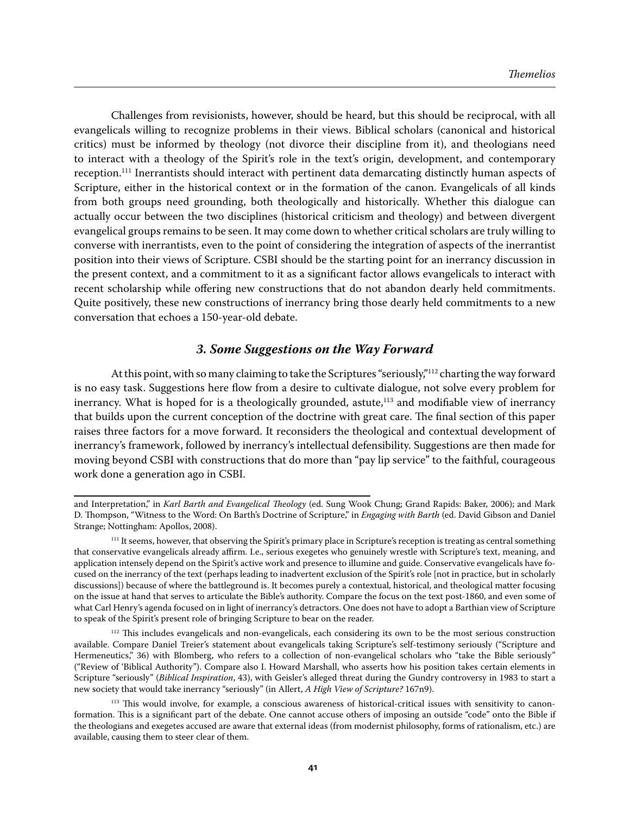Challenges from revisionists, however, should be heard, but this should be reciprocal, with all evangelicals willing to recognize problems in their views. Biblical scholars (canonical and historical critics) must be informed by theology (not divorce their discipline from it), and theologians need to interact with a theology of the Spirit's role in the text's origin, development, and contemporary reception.111 Inerrantists should interact with pertinent data demarcating distinctly human aspects of Scripture, either in the historical context or in the formation of the canon. Evangelicals of all kinds from both groups need grounding, both theologically and historically. Whether this dialogue can actually occur between the two disciplines (historical criticism and theology) and between divergent evangelical groups remains to be seen. It may come down to whether critical scholars are truly willing to converse with inerrantists, even to the point of considering the integration of aspects of the inerrantist position into their views of Scripture. CSBI should be the starting point for an inerrancy discussion in the present context, and a commitment to it as a significant factor allows evangelicals to interact with recent scholarship while offering new constructions that do not abandon dearly held commitments. Quite positively, these new constructions of inerrancy bring those dearly held commitments to a new conversation that echoes a 150-year-old debate.

# *3. Some Suggestions on the Way Forward*

At this point, with so many claiming to take the Scriptures "seriously,"<sup>112</sup> charting the way forward is no easy task. Suggestions here flow from a desire to cultivate dialogue, not solve every problem for inerrancy. What is hoped for is a theologically grounded, astute,<sup>113</sup> and modifiable view of inerrancy that builds upon the current conception of the doctrine with great care. The final section of this paper raises three factors for a move forward. It reconsiders the theological and contextual development of inerrancy's framework, followed by inerrancy's intellectual defensibility. Suggestions are then made for moving beyond CSBI with constructions that do more than "pay lip service" to the faithful, courageous work done a generation ago in CSBI.

and Interpretation," in *Karl Barth and Evangelical Theology* (ed. Sung Wook Chung; Grand Rapids: Baker, 2006); and Mark D. Thompson, "Witness to the Word: On Barth's Doctrine of Scripture," in *Engaging with Barth* (ed. David Gibson and Daniel Strange; Nottingham: Apollos, 2008).

<sup>&</sup>lt;sup>111</sup> It seems, however, that observing the Spirit's primary place in Scripture's reception is treating as central something that conservative evangelicals already affirm. I.e., serious exegetes who genuinely wrestle with Scripture's text, meaning, and application intensely depend on the Spirit's active work and presence to illumine and guide. Conservative evangelicals have focused on the inerrancy of the text (perhaps leading to inadvertent exclusion of the Spirit's role [not in practice, but in scholarly discussions]) because of where the battleground is. It becomes purely a contextual, historical, and theological matter focusing on the issue at hand that serves to articulate the Bible's authority. Compare the focus on the text post-1860, and even some of what Carl Henry's agenda focused on in light of inerrancy's detractors. One does not have to adopt a Barthian view of Scripture to speak of the Spirit's present role of bringing Scripture to bear on the reader.

<sup>&</sup>lt;sup>112</sup> This includes evangelicals and non-evangelicals, each considering its own to be the most serious construction available. Compare Daniel Treier's statement about evangelicals taking Scripture's self-testimony seriously ("Scripture and Hermeneutics," 36) with Blomberg, who refers to a collection of non-evangelical scholars who "take the Bible seriously" ("Review of 'Biblical Authority"). Compare also I. Howard Marshall, who asserts how his position takes certain elements in Scripture "seriously" (*Biblical Inspiration*, 43), with Geisler's alleged threat during the Gundry controversy in 1983 to start a new society that would take inerrancy "seriously" (in Allert, *A High View of Scripture?* 167n9).

<sup>&</sup>lt;sup>113</sup> This would involve, for example, a conscious awareness of historical-critical issues with sensitivity to canonformation. This is a significant part of the debate. One cannot accuse others of imposing an outside "code" onto the Bible if the theologians and exegetes accused are aware that external ideas (from modernist philosophy, forms of rationalism, etc.) are available, causing them to steer clear of them.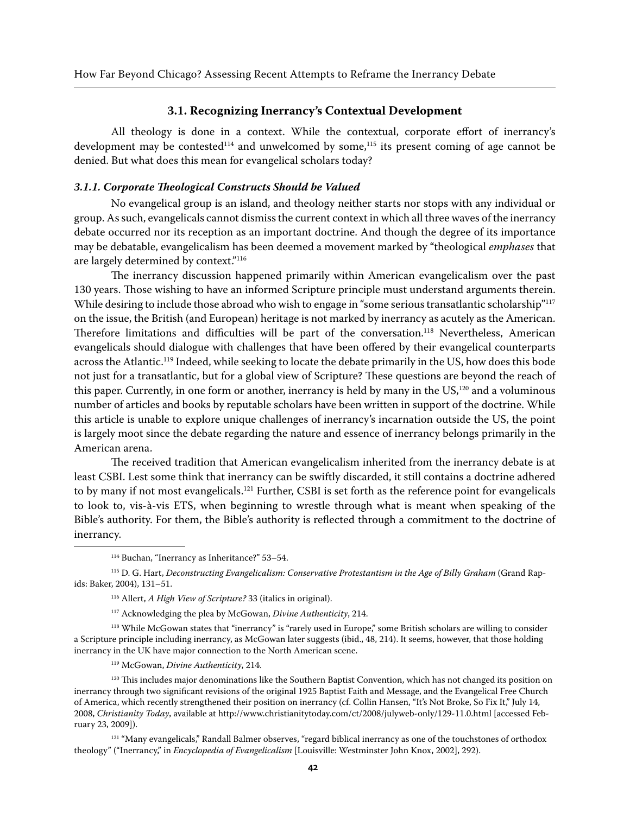#### **3.1. Recognizing Inerrancy's Contextual Development**

All theology is done in a context. While the contextual, corporate effort of inerrancy's development may be contested<sup>114</sup> and unwelcomed by some,<sup>115</sup> its present coming of age cannot be denied. But what does this mean for evangelical scholars today?

#### *3.1.1. Corporate Theological Constructs Should be Valued*

No evangelical group is an island, and theology neither starts nor stops with any individual or group. As such, evangelicals cannot dismiss the current context in which all three waves of the inerrancy debate occurred nor its reception as an important doctrine. And though the degree of its importance may be debatable, evangelicalism has been deemed a movement marked by "theological *emphases* that are largely determined by context."116

The inerrancy discussion happened primarily within American evangelicalism over the past 130 years. Those wishing to have an informed Scripture principle must understand arguments therein. While desiring to include those abroad who wish to engage in "some serious transatlantic scholarship"<sup>117</sup> on the issue, the British (and European) heritage is not marked by inerrancy as acutely as the American. Therefore limitations and difficulties will be part of the conversation.118 Nevertheless, American evangelicals should dialogue with challenges that have been offered by their evangelical counterparts across the Atlantic.<sup>119</sup> Indeed, while seeking to locate the debate primarily in the US, how does this bode not just for a transatlantic, but for a global view of Scripture? These questions are beyond the reach of this paper. Currently, in one form or another, inerrancy is held by many in the US,<sup>120</sup> and a voluminous number of articles and books by reputable scholars have been written in support of the doctrine. While this article is unable to explore unique challenges of inerrancy's incarnation outside the US, the point is largely moot since the debate regarding the nature and essence of inerrancy belongs primarily in the American arena.

The received tradition that American evangelicalism inherited from the inerrancy debate is at least CSBI. Lest some think that inerrancy can be swiftly discarded, it still contains a doctrine adhered to by many if not most evangelicals.<sup>121</sup> Further, CSBI is set forth as the reference point for evangelicals to look to, vis-à-vis ETS, when beginning to wrestle through what is meant when speaking of the Bible's authority. For them, the Bible's authority is reflected through a commitment to the doctrine of inerrancy.

<sup>118</sup> While McGowan states that "inerrancy" is "rarely used in Europe," some British scholars are willing to consider a Scripture principle including inerrancy, as McGowan later suggests (ibid., 48, 214). It seems, however, that those holding inerrancy in the UK have major connection to the North American scene.

<sup>120</sup> This includes major denominations like the Southern Baptist Convention, which has not changed its position on inerrancy through two significant revisions of the original 1925 Baptist Faith and Message, and the Evangelical Free Church of America, which recently strengthened their position on inerrancy (cf. Collin Hansen, "It's Not Broke, So Fix It," July 14, 2008, *Christianity Today*, available at http://www.christianitytoday.com/ct/2008/julyweb-only/129-11.0.html [accessed February 23, 2009]).

<sup>121</sup> "Many evangelicals," Randall Balmer observes, "regard biblical inerrancy as one of the touchstones of orthodox theology" ("Inerrancy," in *Encyclopedia of Evangelicalism* [Louisville: Westminster John Knox, 2002], 292).

<sup>114</sup> Buchan, "Inerrancy as Inheritance?" 53–54.

<sup>&</sup>lt;sup>115</sup> D. G. Hart, *Deconstructing Evangelicalism: Conservative Protestantism in the Age of Billy Graham (Grand Rap*ids: Baker, 2004), 131–51.

<sup>116</sup> Allert, *A High View of Scripture?* 33 (italics in original).

<sup>117</sup> Acknowledging the plea by McGowan, *Divine Authenticity*, 214.

<sup>119</sup> McGowan, *Divine Authenticity*, 214.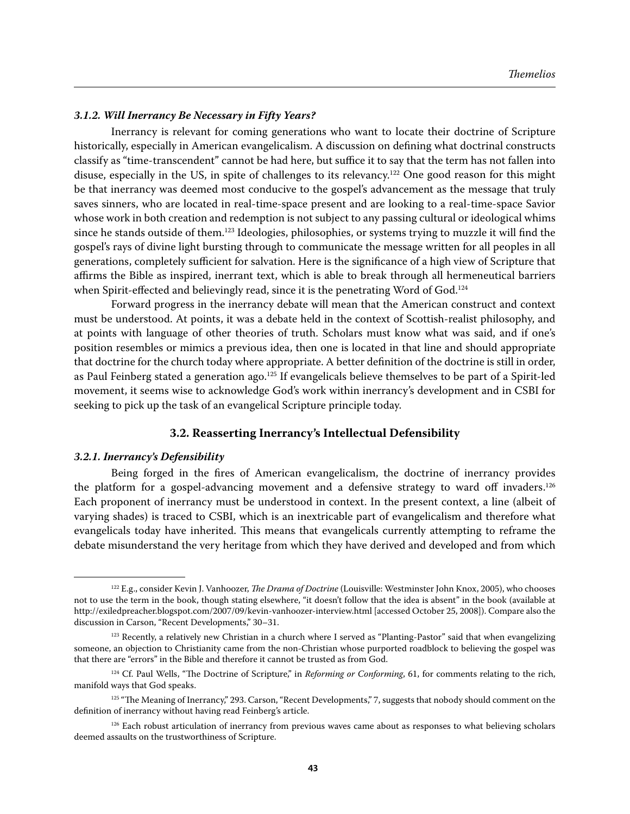#### *3.1.2. Will Inerrancy Be Necessary in Fifty Years?*

Inerrancy is relevant for coming generations who want to locate their doctrine of Scripture historically, especially in American evangelicalism. A discussion on defining what doctrinal constructs classify as "time-transcendent" cannot be had here, but suffice it to say that the term has not fallen into disuse, especially in the US, in spite of challenges to its relevancy.<sup>122</sup> One good reason for this might be that inerrancy was deemed most conducive to the gospel's advancement as the message that truly saves sinners, who are located in real-time-space present and are looking to a real-time-space Savior whose work in both creation and redemption is not subject to any passing cultural or ideological whims since he stands outside of them.<sup>123</sup> Ideologies, philosophies, or systems trying to muzzle it will find the gospel's rays of divine light bursting through to communicate the message written for all peoples in all generations, completely sufficient for salvation. Here is the significance of a high view of Scripture that affirms the Bible as inspired, inerrant text, which is able to break through all hermeneutical barriers when Spirit-effected and believingly read, since it is the penetrating Word of God.<sup>124</sup>

Forward progress in the inerrancy debate will mean that the American construct and context must be understood. At points, it was a debate held in the context of Scottish-realist philosophy, and at points with language of other theories of truth. Scholars must know what was said, and if one's position resembles or mimics a previous idea, then one is located in that line and should appropriate that doctrine for the church today where appropriate. A better definition of the doctrine is still in order, as Paul Feinberg stated a generation ago.<sup>125</sup> If evangelicals believe themselves to be part of a Spirit-led movement, it seems wise to acknowledge God's work within inerrancy's development and in CSBI for seeking to pick up the task of an evangelical Scripture principle today.

#### **3.2. Reasserting Inerrancy's Intellectual Defensibility**

#### *3.2.1. Inerrancy's Defensibility*

Being forged in the fires of American evangelicalism, the doctrine of inerrancy provides the platform for a gospel-advancing movement and a defensive strategy to ward off invaders.<sup>126</sup> Each proponent of inerrancy must be understood in context. In the present context, a line (albeit of varying shades) is traced to CSBI, which is an inextricable part of evangelicalism and therefore what evangelicals today have inherited. This means that evangelicals currently attempting to reframe the debate misunderstand the very heritage from which they have derived and developed and from which

<sup>122</sup> E.g., consider Kevin J. Vanhoozer, *The Drama of Doctrine* (Louisville: Westminster John Knox, 2005), who chooses not to use the term in the book, though stating elsewhere, "it doesn't follow that the idea is absent" in the book (available at http://exiledpreacher.blogspot.com/2007/09/kevin-vanhoozer-interview.html [accessed October 25, 2008]). Compare also the discussion in Carson, "Recent Developments," 30–31.

<sup>&</sup>lt;sup>123</sup> Recently, a relatively new Christian in a church where I served as "Planting-Pastor" said that when evangelizing someone, an objection to Christianity came from the non-Christian whose purported roadblock to believing the gospel was that there are "errors" in the Bible and therefore it cannot be trusted as from God.

<sup>&</sup>lt;sup>124</sup> Cf. Paul Wells, "The Doctrine of Scripture," in *Reforming or Conforming*, 61, for comments relating to the rich, manifold ways that God speaks.

<sup>&</sup>lt;sup>125</sup> "The Meaning of Inerrancy," 293. Carson, "Recent Developments," 7, suggests that nobody should comment on the definition of inerrancy without having read Feinberg's article.

<sup>&</sup>lt;sup>126</sup> Each robust articulation of inerrancy from previous waves came about as responses to what believing scholars deemed assaults on the trustworthiness of Scripture.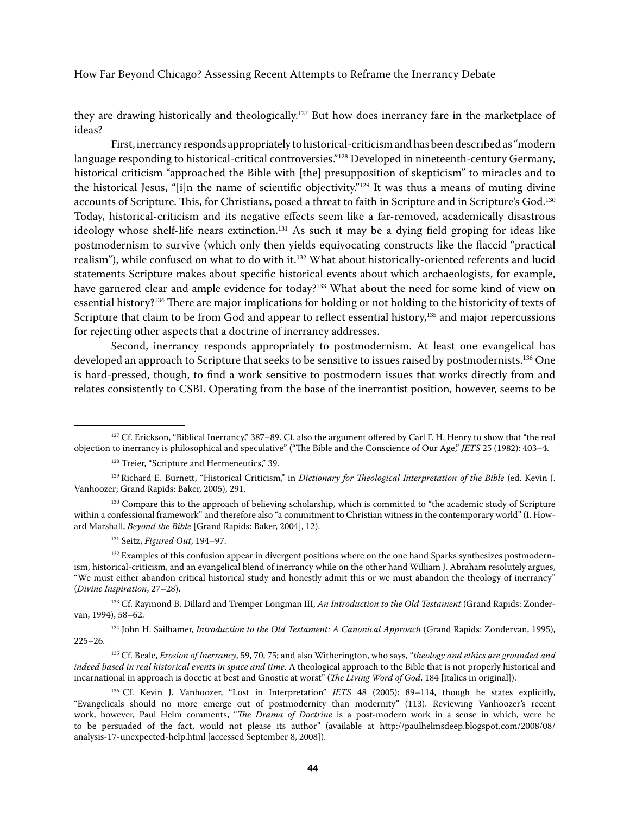they are drawing historically and theologically.<sup>127</sup> But how does inerrancy fare in the marketplace of ideas?

First, inerrancy responds appropriately to historical-criticism and has been described as "modern language responding to historical-critical controversies."128 Developed in nineteenth-century Germany, historical criticism "approached the Bible with [the] presupposition of skepticism" to miracles and to the historical Jesus, "[i]n the name of scientific objectivity."129 It was thus a means of muting divine accounts of Scripture. This, for Christians, posed a threat to faith in Scripture and in Scripture's God.130 Today, historical-criticism and its negative effects seem like a far-removed, academically disastrous ideology whose shelf-life nears extinction.<sup>131</sup> As such it may be a dying field groping for ideas like postmodernism to survive (which only then yields equivocating constructs like the flaccid "practical realism"), while confused on what to do with it.<sup>132</sup> What about historically-oriented referents and lucid statements Scripture makes about specific historical events about which archaeologists, for example, have garnered clear and ample evidence for today?<sup>133</sup> What about the need for some kind of view on essential history?134 There are major implications for holding or not holding to the historicity of texts of Scripture that claim to be from God and appear to reflect essential history,<sup>135</sup> and major repercussions for rejecting other aspects that a doctrine of inerrancy addresses.

Second, inerrancy responds appropriately to postmodernism. At least one evangelical has developed an approach to Scripture that seeks to be sensitive to issues raised by postmodernists.136 One is hard-pressed, though, to find a work sensitive to postmodern issues that works directly from and relates consistently to CSBI. Operating from the base of the inerrantist position, however, seems to be

131 Seitz, *Figured Out*, 194–97.

<sup>132</sup> Examples of this confusion appear in divergent positions where on the one hand Sparks synthesizes postmodernism, historical-criticism, and an evangelical blend of inerrancy while on the other hand William J. Abraham resolutely argues, "We must either abandon critical historical study and honestly admit this or we must abandon the theology of inerrancy" (*Divine Inspiration*, 27–28).

133 Cf. Raymond B. Dillard and Tremper Longman III, *An Introduction to the Old Testament* (Grand Rapids: Zondervan, 1994), 58–62.

<sup>134</sup> John H. Sailhamer, *Introduction to the Old Testament: A Canonical Approach* (Grand Rapids: Zondervan, 1995), 225–26.

135 Cf. Beale, *Erosion of Inerrancy*, 59, 70, 75; and also Witherington, who says, "*theology and ethics are grounded and indeed based in real historical events in space and time*. A theological approach to the Bible that is not properly historical and incarnational in approach is docetic at best and Gnostic at worst" (*The Living Word of God*, 184 [italics in original]).

 $127$  Cf. Erickson, "Biblical Inerrancy," 387–89. Cf. also the argument offered by Carl F. H. Henry to show that "the real objection to inerrancy is philosophical and speculative" ("The Bible and the Conscience of Our Age," *JETS* 25 (1982): 403–4.

<sup>&</sup>lt;sup>128</sup> Treier, "Scripture and Hermeneutics," 39.

<sup>129</sup> Richard E. Burnett, "Historical Criticism," in *Dictionary for Theological Interpretation of the Bible* (ed. Kevin J. Vanhoozer; Grand Rapids: Baker, 2005), 291.

<sup>&</sup>lt;sup>130</sup> Compare this to the approach of believing scholarship, which is committed to "the academic study of Scripture within a confessional framework" and therefore also "a commitment to Christian witness in the contemporary world" (I. Howard Marshall, *Beyond the Bible* [Grand Rapids: Baker, 2004], 12).

<sup>136</sup> Cf. Kevin J. Vanhoozer, "Lost in Interpretation" *JETS* 48 (2005): 89–114, though he states explicitly, "Evangelicals should no more emerge out of postmodernity than modernity" (113). Reviewing Vanhoozer's recent work, however, Paul Helm comments, "*The Drama of Doctrine* is a post-modern work in a sense in which, were he to be persuaded of the fact, would not please its author" (available at http://paulhelmsdeep.blogspot.com/2008/08/ analysis-17-unexpected-help.html [accessed September 8, 2008]).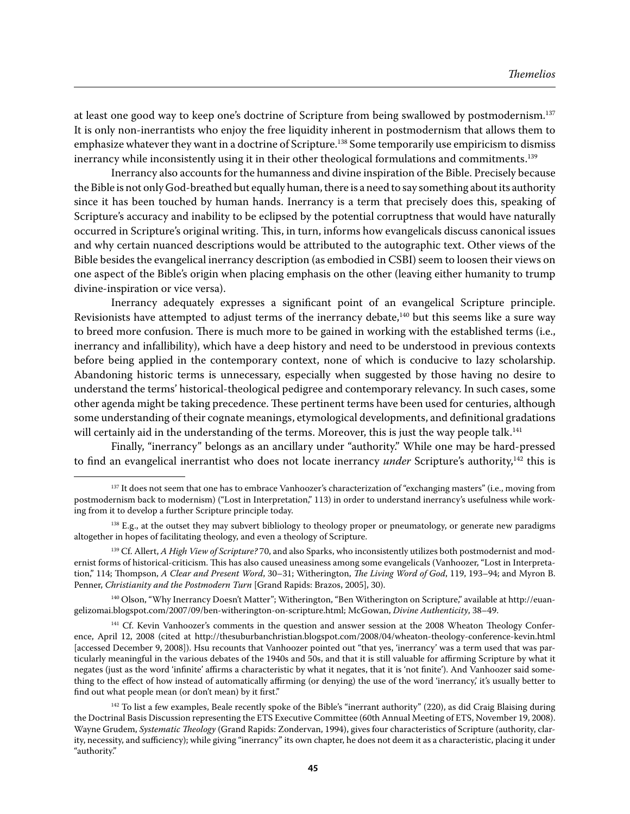at least one good way to keep one's doctrine of Scripture from being swallowed by postmodernism.137 It is only non-inerrantists who enjoy the free liquidity inherent in postmodernism that allows them to emphasize whatever they want in a doctrine of Scripture.<sup>138</sup> Some temporarily use empiricism to dismiss inerrancy while inconsistently using it in their other theological formulations and commitments.139

Inerrancy also accounts for the humanness and divine inspiration of the Bible. Precisely because the Bible is not only God-breathed but equally human, there is a need to say something about its authority since it has been touched by human hands. Inerrancy is a term that precisely does this, speaking of Scripture's accuracy and inability to be eclipsed by the potential corruptness that would have naturally occurred in Scripture's original writing. This, in turn, informs how evangelicals discuss canonical issues and why certain nuanced descriptions would be attributed to the autographic text. Other views of the Bible besides the evangelical inerrancy description (as embodied in CSBI) seem to loosen their views on one aspect of the Bible's origin when placing emphasis on the other (leaving either humanity to trump divine-inspiration or vice versa).

Inerrancy adequately expresses a significant point of an evangelical Scripture principle. Revisionists have attempted to adjust terms of the inerrancy debate,<sup>140</sup> but this seems like a sure way to breed more confusion. There is much more to be gained in working with the established terms (i.e., inerrancy and infallibility), which have a deep history and need to be understood in previous contexts before being applied in the contemporary context, none of which is conducive to lazy scholarship. Abandoning historic terms is unnecessary, especially when suggested by those having no desire to understand the terms' historical-theological pedigree and contemporary relevancy. In such cases, some other agenda might be taking precedence. These pertinent terms have been used for centuries, although some understanding of their cognate meanings, etymological developments, and definitional gradations will certainly aid in the understanding of the terms. Moreover, this is just the way people talk.<sup>141</sup>

Finally, "inerrancy" belongs as an ancillary under "authority." While one may be hard-pressed to find an evangelical inerrantist who does not locate inerrancy *under* Scripture's authority,142 this is

140 Olson, "Why Inerrancy Doesn't Matter"; Witherington, "Ben Witherington on Scripture," available at http://euangelizomai.blogspot.com/2007/09/ben-witherington-on-scripture.html; McGowan, *Divine Authenticity*, 38–49.

<sup>141</sup> Cf. Kevin Vanhoozer's comments in the question and answer session at the 2008 Wheaton Theology Conference, April 12, 2008 (cited at http://thesuburbanchristian.blogspot.com/2008/04/wheaton-theology-conference-kevin.html [accessed December 9, 2008]). Hsu recounts that Vanhoozer pointed out "that yes, 'inerrancy' was a term used that was particularly meaningful in the various debates of the 1940s and 50s, and that it is still valuable for affirming Scripture by what it negates (just as the word 'infinite' affirms a characteristic by what it negates, that it is 'not finite'). And Vanhoozer said something to the effect of how instead of automatically affirming (or denying) the use of the word 'inerrancy,' it's usually better to find out what people mean (or don't mean) by it first."

<sup>142</sup> To list a few examples, Beale recently spoke of the Bible's "inerrant authority" (220), as did Craig Blaising during the Doctrinal Basis Discussion representing the ETS Executive Committee (60th Annual Meeting of ETS, November 19, 2008). Wayne Grudem, *Systematic Theology* (Grand Rapids: Zondervan, 1994), gives four characteristics of Scripture (authority, clarity, necessity, and sufficiency); while giving "inerrancy" its own chapter, he does not deem it as a characteristic, placing it under "authority."

<sup>&</sup>lt;sup>137</sup> It does not seem that one has to embrace Vanhoozer's characterization of "exchanging masters" (i.e., moving from postmodernism back to modernism) ("Lost in Interpretation," 113) in order to understand inerrancy's usefulness while working from it to develop a further Scripture principle today.

<sup>&</sup>lt;sup>138</sup> E.g., at the outset they may subvert bibliology to theology proper or pneumatology, or generate new paradigms altogether in hopes of facilitating theology, and even a theology of Scripture.

<sup>&</sup>lt;sup>139</sup> Cf. Allert, *A High View of Scripture?* 70, and also Sparks, who inconsistently utilizes both postmodernist and modernist forms of historical-criticism. This has also caused uneasiness among some evangelicals (Vanhoozer, "Lost in Interpretation," 114; Thompson, *A Clear and Present Word*, 30–31; Witherington, *The Living Word of God*, 119, 193–94; and Myron B. Penner, *Christianity and the Postmodern Turn* [Grand Rapids: Brazos, 2005], 30).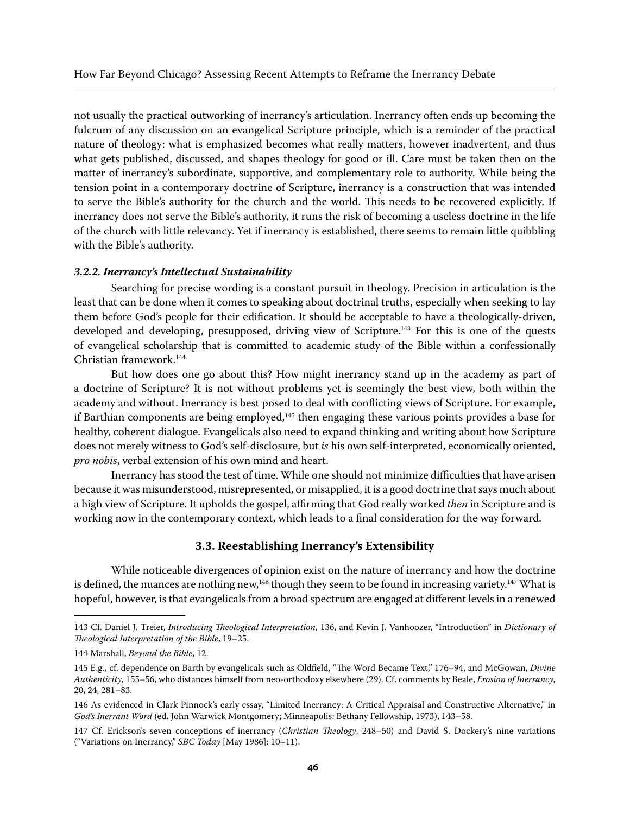not usually the practical outworking of inerrancy's articulation. Inerrancy often ends up becoming the fulcrum of any discussion on an evangelical Scripture principle, which is a reminder of the practical nature of theology: what is emphasized becomes what really matters, however inadvertent, and thus what gets published, discussed, and shapes theology for good or ill. Care must be taken then on the matter of inerrancy's subordinate, supportive, and complementary role to authority. While being the tension point in a contemporary doctrine of Scripture, inerrancy is a construction that was intended to serve the Bible's authority for the church and the world. This needs to be recovered explicitly. If inerrancy does not serve the Bible's authority, it runs the risk of becoming a useless doctrine in the life of the church with little relevancy. Yet if inerrancy is established, there seems to remain little quibbling with the Bible's authority.

#### *3.2.2. Inerrancy's Intellectual Sustainability*

Searching for precise wording is a constant pursuit in theology. Precision in articulation is the least that can be done when it comes to speaking about doctrinal truths, especially when seeking to lay them before God's people for their edification. It should be acceptable to have a theologically-driven, developed and developing, presupposed, driving view of Scripture.<sup>143</sup> For this is one of the quests of evangelical scholarship that is committed to academic study of the Bible within a confessionally Christian framework.144

But how does one go about this? How might inerrancy stand up in the academy as part of a doctrine of Scripture? It is not without problems yet is seemingly the best view, both within the academy and without. Inerrancy is best posed to deal with conflicting views of Scripture. For example, if Barthian components are being employed, $145$  then engaging these various points provides a base for healthy, coherent dialogue. Evangelicals also need to expand thinking and writing about how Scripture does not merely witness to God's self-disclosure, but *is* his own self-interpreted, economically oriented, *pro nobis*, verbal extension of his own mind and heart.

Inerrancy has stood the test of time. While one should not minimize difficulties that have arisen because it was misunderstood, misrepresented, or misapplied, it is a good doctrine that says much about a high view of Scripture. It upholds the gospel, affirming that God really worked *then* in Scripture and is working now in the contemporary context, which leads to a final consideration for the way forward.

### **3.3. Reestablishing Inerrancy's Extensibility**

While noticeable divergences of opinion exist on the nature of inerrancy and how the doctrine is defined, the nuances are nothing new, $146$  though they seem to be found in increasing variety. $147$  What is hopeful, however, is that evangelicals from a broad spectrum are engaged at different levels in a renewed

<sup>143</sup> Cf. Daniel J. Treier, *Introducing Theological Interpretation*, 136, and Kevin J. Vanhoozer, "Introduction" in *Dictionary of Theological Interpretation of the Bible*, 19–25.

<sup>144</sup> Marshall, *Beyond the Bible*, 12.

<sup>145</sup> E.g., cf. dependence on Barth by evangelicals such as Oldfield, "The Word Became Text," 176–94, and McGowan, *Divine Authenticity*, 155–56, who distances himself from neo-orthodoxy elsewhere (29). Cf. comments by Beale, *Erosion of Inerrancy*, 20, 24, 281–83.

<sup>146</sup> As evidenced in Clark Pinnock's early essay, "Limited Inerrancy: A Critical Appraisal and Constructive Alternative," in *God's Inerrant Word* (ed. John Warwick Montgomery; Minneapolis: Bethany Fellowship, 1973), 143–58.

<sup>147</sup> Cf. Erickson's seven conceptions of inerrancy (*Christian Theology*, 248–50) and David S. Dockery's nine variations ("Variations on Inerrancy," *SBC Today* [May 1986]: 10–11).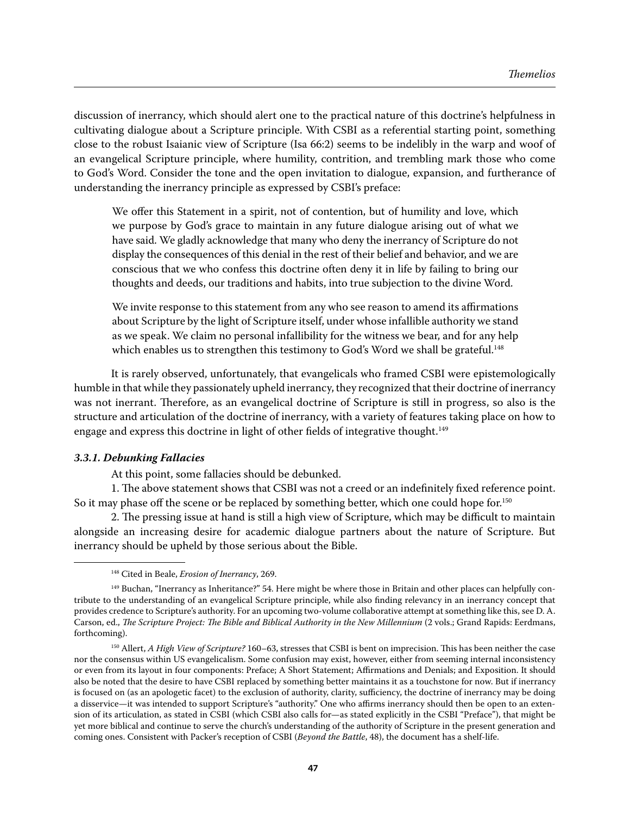discussion of inerrancy, which should alert one to the practical nature of this doctrine's helpfulness in cultivating dialogue about a Scripture principle. With CSBI as a referential starting point, something close to the robust Isaianic view of Scripture (Isa 66:2) seems to be indelibly in the warp and woof of an evangelical Scripture principle, where humility, contrition, and trembling mark those who come to God's Word. Consider the tone and the open invitation to dialogue, expansion, and furtherance of understanding the inerrancy principle as expressed by CSBI's preface:

We offer this Statement in a spirit, not of contention, but of humility and love, which we purpose by God's grace to maintain in any future dialogue arising out of what we have said. We gladly acknowledge that many who deny the inerrancy of Scripture do not display the consequences of this denial in the rest of their belief and behavior, and we are conscious that we who confess this doctrine often deny it in life by failing to bring our thoughts and deeds, our traditions and habits, into true subjection to the divine Word.

We invite response to this statement from any who see reason to amend its affirmations about Scripture by the light of Scripture itself, under whose infallible authority we stand as we speak. We claim no personal infallibility for the witness we bear, and for any help which enables us to strengthen this testimony to God's Word we shall be grateful.<sup>148</sup>

It is rarely observed, unfortunately, that evangelicals who framed CSBI were epistemologically humble in that while they passionately upheld inerrancy, they recognized that their doctrine of inerrancy was not inerrant. Therefore, as an evangelical doctrine of Scripture is still in progress, so also is the structure and articulation of the doctrine of inerrancy, with a variety of features taking place on how to engage and express this doctrine in light of other fields of integrative thought.<sup>149</sup>

### *3.3.1. Debunking Fallacies*

At this point, some fallacies should be debunked.

1. The above statement shows that CSBI was not a creed or an indefinitely fixed reference point. So it may phase off the scene or be replaced by something better, which one could hope for.<sup>150</sup>

2. The pressing issue at hand is still a high view of Scripture, which may be difficult to maintain alongside an increasing desire for academic dialogue partners about the nature of Scripture. But inerrancy should be upheld by those serious about the Bible.

<sup>148</sup> Cited in Beale, *Erosion of Inerrancy*, 269.

<sup>&</sup>lt;sup>149</sup> Buchan, "Inerrancy as Inheritance?" 54. Here might be where those in Britain and other places can helpfully contribute to the understanding of an evangelical Scripture principle, while also finding relevancy in an inerrancy concept that provides credence to Scripture's authority. For an upcoming two-volume collaborative attempt at something like this, see D. A. Carson, ed., *The Scripture Project: The Bible and Biblical Authority in the New Millennium* (2 vols.; Grand Rapids: Eerdmans, forthcoming).

<sup>150</sup> Allert, *A High View of Scripture?* 160–63, stresses that CSBI is bent on imprecision. This has been neither the case nor the consensus within US evangelicalism. Some confusion may exist, however, either from seeming internal inconsistency or even from its layout in four components: Preface; A Short Statement; Affirmations and Denials; and Exposition. It should also be noted that the desire to have CSBI replaced by something better maintains it as a touchstone for now. But if inerrancy is focused on (as an apologetic facet) to the exclusion of authority, clarity, sufficiency, the doctrine of inerrancy may be doing a disservice—it was intended to support Scripture's "authority." One who affirms inerrancy should then be open to an extension of its articulation, as stated in CSBI (which CSBI also calls for—as stated explicitly in the CSBI "Preface"), that might be yet more biblical and continue to serve the church's understanding of the authority of Scripture in the present generation and coming ones. Consistent with Packer's reception of CSBI (*Beyond the Battle*, 48), the document has a shelf-life.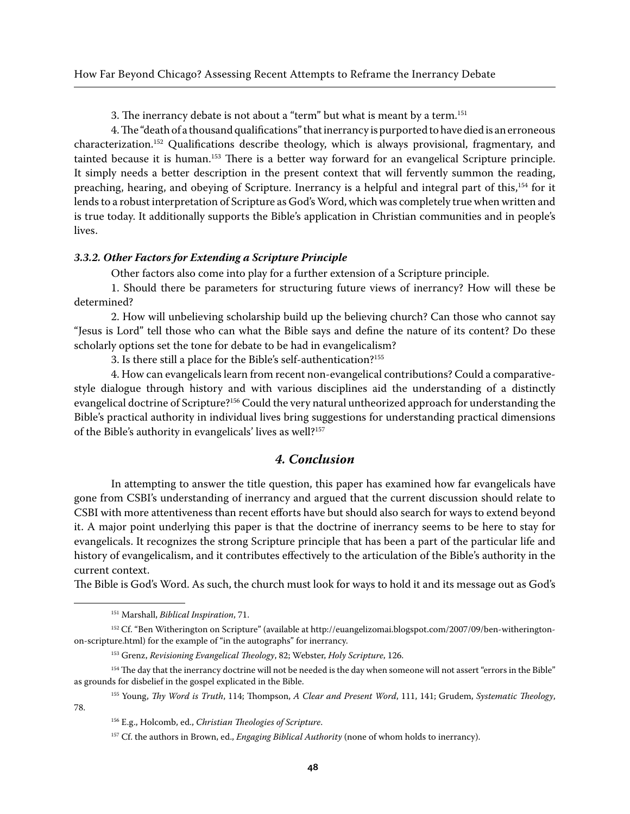3. The inerrancy debate is not about a "term" but what is meant by a term.<sup>151</sup>

4. The "death of a thousand qualifications" that inerrancy is purported to have died is an erroneous characterization.152 Qualifications describe theology, which is always provisional, fragmentary, and tainted because it is human.153 There is a better way forward for an evangelical Scripture principle. It simply needs a better description in the present context that will fervently summon the reading, preaching, hearing, and obeying of Scripture. Inerrancy is a helpful and integral part of this,154 for it lends to a robust interpretation of Scripture as God's Word, which was completely true when written and is true today. It additionally supports the Bible's application in Christian communities and in people's lives.

#### *3.3.2. Other Factors for Extending a Scripture Principle*

Other factors also come into play for a further extension of a Scripture principle.

1. Should there be parameters for structuring future views of inerrancy? How will these be determined?

2. How will unbelieving scholarship build up the believing church? Can those who cannot say "Jesus is Lord" tell those who can what the Bible says and define the nature of its content? Do these scholarly options set the tone for debate to be had in evangelicalism?

3. Is there still a place for the Bible's self-authentication?155

4. How can evangelicals learn from recent non-evangelical contributions? Could a comparativestyle dialogue through history and with various disciplines aid the understanding of a distinctly evangelical doctrine of Scripture?156 Could the very natural untheorized approach for understanding the Bible's practical authority in individual lives bring suggestions for understanding practical dimensions of the Bible's authority in evangelicals' lives as well?<sup>157</sup>

## *4. Conclusion*

In attempting to answer the title question, this paper has examined how far evangelicals have gone from CSBI's understanding of inerrancy and argued that the current discussion should relate to CSBI with more attentiveness than recent efforts have but should also search for ways to extend beyond it. A major point underlying this paper is that the doctrine of inerrancy seems to be here to stay for evangelicals. It recognizes the strong Scripture principle that has been a part of the particular life and history of evangelicalism, and it contributes effectively to the articulation of the Bible's authority in the current context.

The Bible is God's Word. As such, the church must look for ways to hold it and its message out as God's

155 Young, *Thy Word is Truth*, 114; Thompson, *A Clear and Present Word*, 111, 141; Grudem, *Systematic Theology*, 78.

<sup>151</sup> Marshall, *Biblical Inspiration*, 71.

<sup>152</sup> Cf. "Ben Witherington on Scripture" (available at http://euangelizomai.blogspot.com/2007/09/ben-witheringtonon-scripture.html) for the example of "in the autographs" for inerrancy.

<sup>153</sup> Grenz, *Revisioning Evangelical Theology*, 82; Webster, *Holy Scripture*, 126.

<sup>&</sup>lt;sup>154</sup> The day that the inerrancy doctrine will not be needed is the day when someone will not assert "errors in the Bible" as grounds for disbelief in the gospel explicated in the Bible.

<sup>156</sup> E.g., Holcomb, ed., *Christian Theologies of Scripture*.

<sup>157</sup> Cf. the authors in Brown, ed., *Engaging Biblical Authority* (none of whom holds to inerrancy).